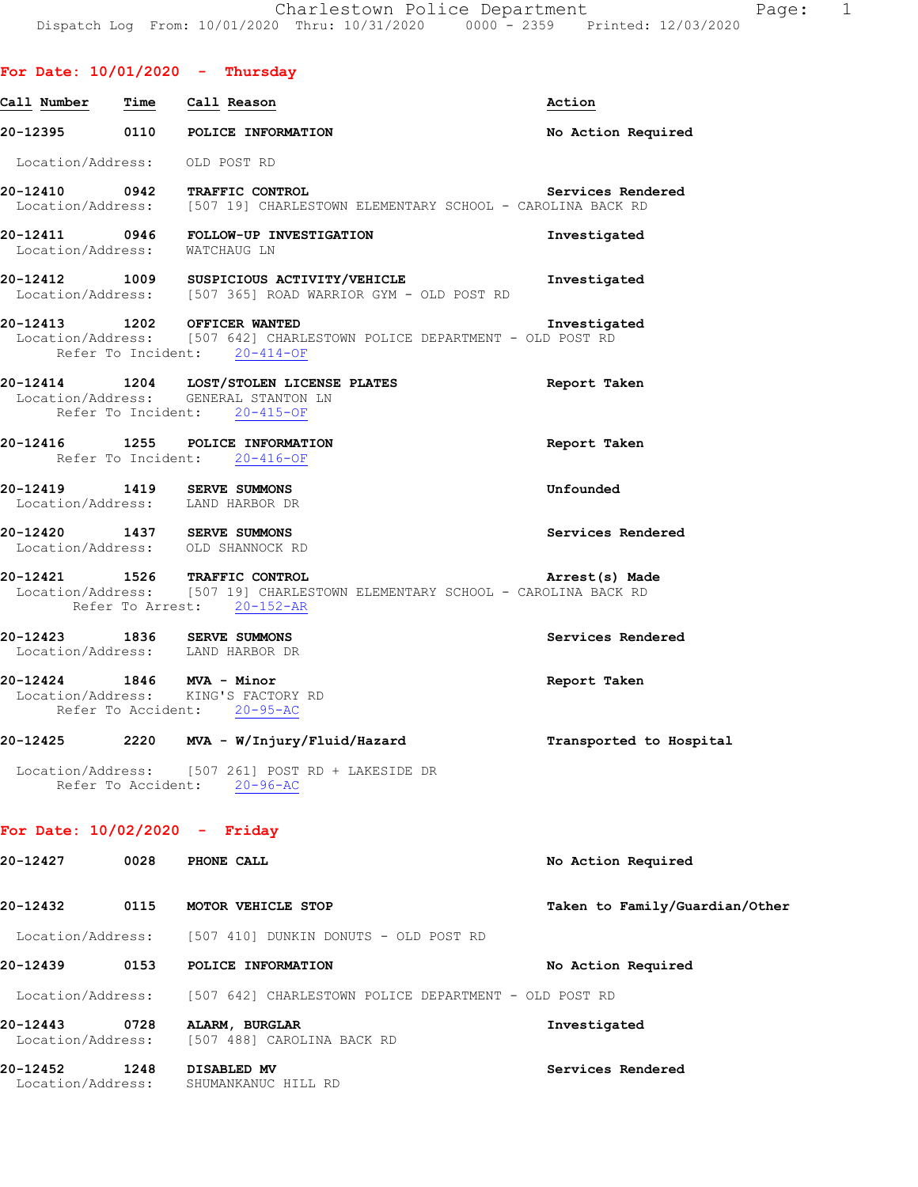| Call Number Time Call Reason    |      |                                                                                                                                            | Action                         |
|---------------------------------|------|--------------------------------------------------------------------------------------------------------------------------------------------|--------------------------------|
|                                 |      | 20-12395 0110 POLICE INFORMATION                                                                                                           | No Action Required             |
|                                 |      | Location/Address: OLD POST RD                                                                                                              |                                |
|                                 |      | 20-12410 0942 TRAFFIC CONTROL<br>Location/Address: [507 19] CHARLESTOWN ELEMENTARY SCHOOL - CAROLINA BACK RD                               | Services Rendered              |
|                                 |      | 20-12411 0946 FOLLOW-UP INVESTIGATION<br>Location/Address: WATCHAUG LN                                                                     | Investigated                   |
|                                 |      | 20-12412 1009 SUSPICIOUS ACTIVITY/VEHICLE<br>Location/Address: [507 365] ROAD WARRIOR GYM - OLD POST RD                                    | Investigated                   |
|                                 |      | 20-12413 1202 OFFICER WANTED<br>Location/Address: [507 642] CHARLESTOWN POLICE DEPARTMENT - OLD POST RD<br>Refer To Incident: 20-414-OF    | Investigated                   |
|                                 |      | 20-12414 1204 LOST/STOLEN LICENSE PLATES<br>Location/Address: GENERAL STANTON LN<br>Refer To Incident: 20-415-OF                           | Report Taken                   |
|                                 |      | 20-12416 1255 POLICE INFORMATION<br>Refer To Incident: 20-416-OF                                                                           | Report Taken                   |
|                                 |      | 20-12419  1419  SERVE SUMMONS<br>Location/Address: LAND HARBOR DR                                                                          | Unfounded                      |
|                                 |      | 20-12420 1437 SERVE SUMMONS<br>Location/Address: OLD SHANNOCK RD                                                                           | Services Rendered              |
|                                 |      | 20-12421 1526 TRAFFIC CONTROL<br>Location/Address: [507 19] CHARLESTOWN ELEMENTARY SCHOOL - CAROLINA BACK RD<br>Refer To Arrest: 20-152-AR | Arrest(s) Made                 |
|                                 |      | 20-12423 1836 SERVE SUMMONS<br>Location/Address: LAND HARBOR DR                                                                            | Services Rendered              |
| 20-12424 1846 MVA - Minor       |      | Location/Address: KING'S FACTORY RD<br>Refer To Accident: 20-95-AC                                                                         | Report Taken                   |
|                                 |      | 20-12425 2220 MVA - W/Injury/Fluid/Hazard                                                                                                  | Transported to Hospital        |
|                                 |      | Location/Address: [507 261] POST RD + LAKESIDE DR<br>Refer To Accident: 20-96-AC                                                           |                                |
| For Date: $10/02/2020 -$ Friday |      |                                                                                                                                            |                                |
| 20-12427                        | 0028 | PHONE CALL                                                                                                                                 | No Action Required             |
| 20-12432                        | 0115 | MOTOR VEHICLE STOP                                                                                                                         | Taken to Family/Guardian/Other |

Location/Address: [507 410] DUNKIN DONUTS - OLD POST RD

**20-12439 0153 POLICE INFORMATION No Action Required** 

Location/Address: [507 642] CHARLESTOWN POLICE DEPARTMENT - OLD POST RD

**20-12443 0728 ALARM, BURGLAR Investigated**  Location/Address: [507 488] CAROLINA BACK RD

**20-12452 1248 DISABLED MV Services Rendered**  Location/Address: SHUMANKANUC HILL RD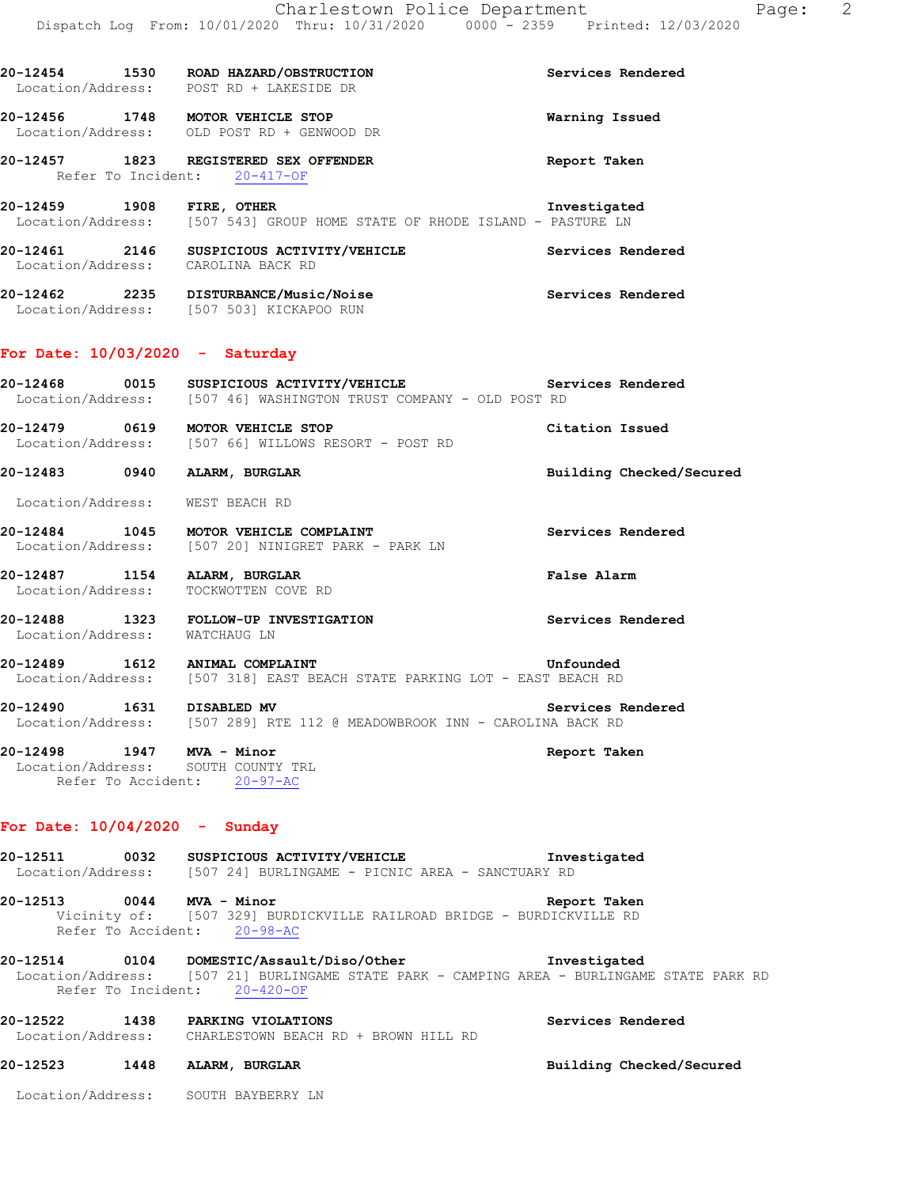| 20-12454<br>Location/Address: | Services Rendered |                                                |                |
|-------------------------------|-------------------|------------------------------------------------|----------------|
| 20-12456<br>Location/Address: | 1748              | MOTOR VEHICLE STOP<br>OLD POST RD + GENWOOD DR | Warning Issued |

**20-12457 1823 REGISTERED SEX OFFENDER Report Taken**  Refer To Incident: 20-417-OF

**20-12459 1908 FIRE, OTHER Investigated**  Location/Address: [507 543] GROUP HOME STATE OF RHODE ISLAND - PASTURE LN

- **20-12461 2146 SUSPICIOUS ACTIVITY/VEHICLE Services Rendered**  Location/Address: CAROLINA BACK RD
- **20-12462 2235 DISTURBANCE/Music/Noise Services Rendered**  Location/Address: [507 503] KICKAPOO RUN

## **For Date: 10/03/2020 - Saturday**

- **20-12468 0015 SUSPICIOUS ACTIVITY/VEHICLE Services Rendered**  Location/Address: [507 46] WASHINGTON TRUST COMPANY - OLD POST RD
- **20-12479 0619 MOTOR VEHICLE STOP Citation Issued**  [507 66] WILLOWS RESORT - POST RD
- **20-12483 0940 ALARM, BURGLAR Building Checked/Secured**

Location/Address: WEST BEACH RD

- 20-12484 1045 MOTOR VEHICLE COMPLAINT **1200** Services Rendered Location/Address: [507 20] NINIGRET PARK - PARK LN
- **20-12487 1154 ALARM, BURGLAR False Alarm**  Location/Address: TOCKWOTTEN COVE RD
- **20-12488 1323 FOLLOW-UP INVESTIGATION Services Rendered**  Location/Address: WATCHAUG LN

**20-12489 1612 ANIMAL COMPLAINT COMPLET ANIMAL COMPLAINT Unfounded**<br>Location/Address: [507 318] EAST BEACH STATE PARKING LOT - EAST BEACH RD [507 318] EAST BEACH STATE PARKING LOT - EAST BEACH RD

- **20-12490 1631 DISABLED MV Services Rendered**  Location/Address: [507 289] RTE 112 @ MEADOWBROOK INN - CAROLINA BACK RD
- **20-12498 1947 MVA Minor Report Taken**  Location/Address: SOUTH COUNTY TRL Refer To Accident: 20-97-AC

## **For Date: 10/04/2020 - Sunday**

**20-12511 0032 SUSPICIOUS ACTIVITY/VEHICLE Investigated**  Location/Address: [507 24] BURLINGAME - PICNIC AREA - SANCTUARY RD **20-12513 0044 MVA - Minor Report Taken**  Vicinity of: [507 329] BURDICKVILLE RAILROAD BRIDGE - BURDICKVILLE RD Refer To Accident: 20-98-AC **20-12514 0104 DOMESTIC/Assault/Diso/Other Investigated**  Location/Address: [507 21] BURLINGAME STATE PARK - CAMPING AREA - BURLINGAME STATE PARK RD Refer To Incident: 20-420-OF

**20-12522 1438 PARKING VIOLATIONS Services Rendered Services Rendered IOCATION BEACH** RD + BROWN HILL RD CHARLESTOWN BEACH RD + BROWN HILL RD

# **20-12523 1448 ALARM, BURGLAR Building Checked/Secured**

Location/Address: SOUTH BAYBERRY LN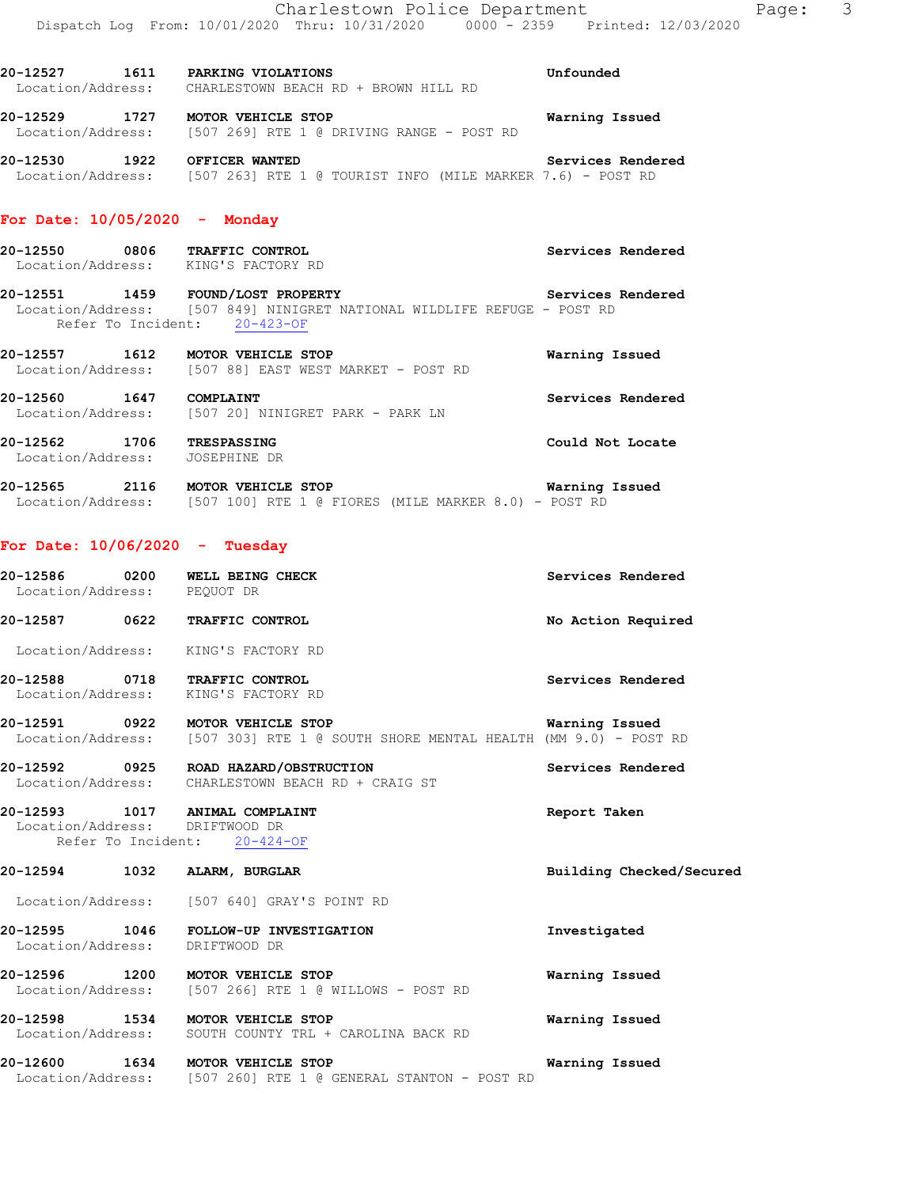Location/Address: CHARLESTOWN BEACH RD + BROWN HILL RD **20-12529 1727 MOTOR VEHICLE STOP WATER WATER WARED AT A SERVIOR OF A VICTOR WARE POST RD**<br>Location/Address: [507 269] RTE 1 @ DRIVING RANGE - POST RD [507 269] RTE 1 @ DRIVING RANGE - POST RD

**20-12530 1922 OFFICER WANTED Services Rendered**  Location/Address: [507 263] RTE 1 @ TOURIST INFO (MILE MARKER 7.6) - POST RD

### **For Date: 10/05/2020 - Monday**

- **20-12550 0806 TRAFFIC CONTROL Services Rendered**  Location/Address: KING'S FACTORY RD
- **20-12551 1459 FOUND/LOST PROPERTY Services Rendered**  Location/Address: [507 849] NINIGRET NATIONAL WILDLIFE REFUGE - POST RD Refer To Incident: 20-423-OF
- **20-12557 1612 MOTOR VEHICLE STOP WARKET** POST RD **Warning Issued** Location/Address: [507 88] EAST WEST MARKET POST RD [507 88] EAST WEST MARKET - POST RD
- **20-12560 1647 COMPLAINT Services Rendered**  Location/Address: [507 20] NINIGRET PARK - PARK LN
- **20-12562 1706 TRESPASSING Could Not Locate**  Location/Address: JOSEPHINE DR
- **20-12565 2116 MOTOR VEHICLE STOP Warning Issued**  Location/Address: [507 100] RTE 1 @ FIORES (MILE MARKER 8.0) - POST RD

#### **For Date: 10/06/2020 - Tuesday**

**20-12586 0200 WELL BEING CHECK Services Rendered**  Location/Address: PEQUOT DR **20-12587 0622 TRAFFIC CONTROL No Action Required**  Location/Address: KING'S FACTORY RD **20-12588 0718 TRAFFIC CONTROL Services Rendered**  Location/Address: KING'S FACTORY RD **20-12591 0922 MOTOR VEHICLE STOP Warning Issued**  Location/Address: [507 303] RTE 1 @ SOUTH SHORE MENTAL HEALTH (MM 9.0) - POST RD **20-12592 0925 ROAD HAZARD/OBSTRUCTION Services Rendered**  Location/Address: CHARLESTOWN BEACH RD + CRAIG ST **20-12593 1017 ANIMAL COMPLAINT Report Taken**  Location/Address: DRIFTWOOD DR Refer To Incident: 20-424-OF **20-12594 1032 ALARM, BURGLAR Building Checked/Secured**  Location/Address: [507 640] GRAY'S POINT RD **20-12595 1046 FOLLOW-UP INVESTIGATION Investigated**  Location/Address: DRIFTWOOD DR **20-12596 1200 MOTOR VEHICLE STOP Warning Issued**  Location/Address: [507 266] RTE 1 @ WILLOWS - POST RD **20-12598 1534 MOTOR VEHICLE STOP Warning Issued**  Location/Address: SOUTH COUNTY TRL + CAROLINA BACK RD **20-12600 1634 MOTOR VEHICLE STOP Warning Issued**  Location/Address: [507 260] RTE 1 @ GENERAL STANTON - POST RD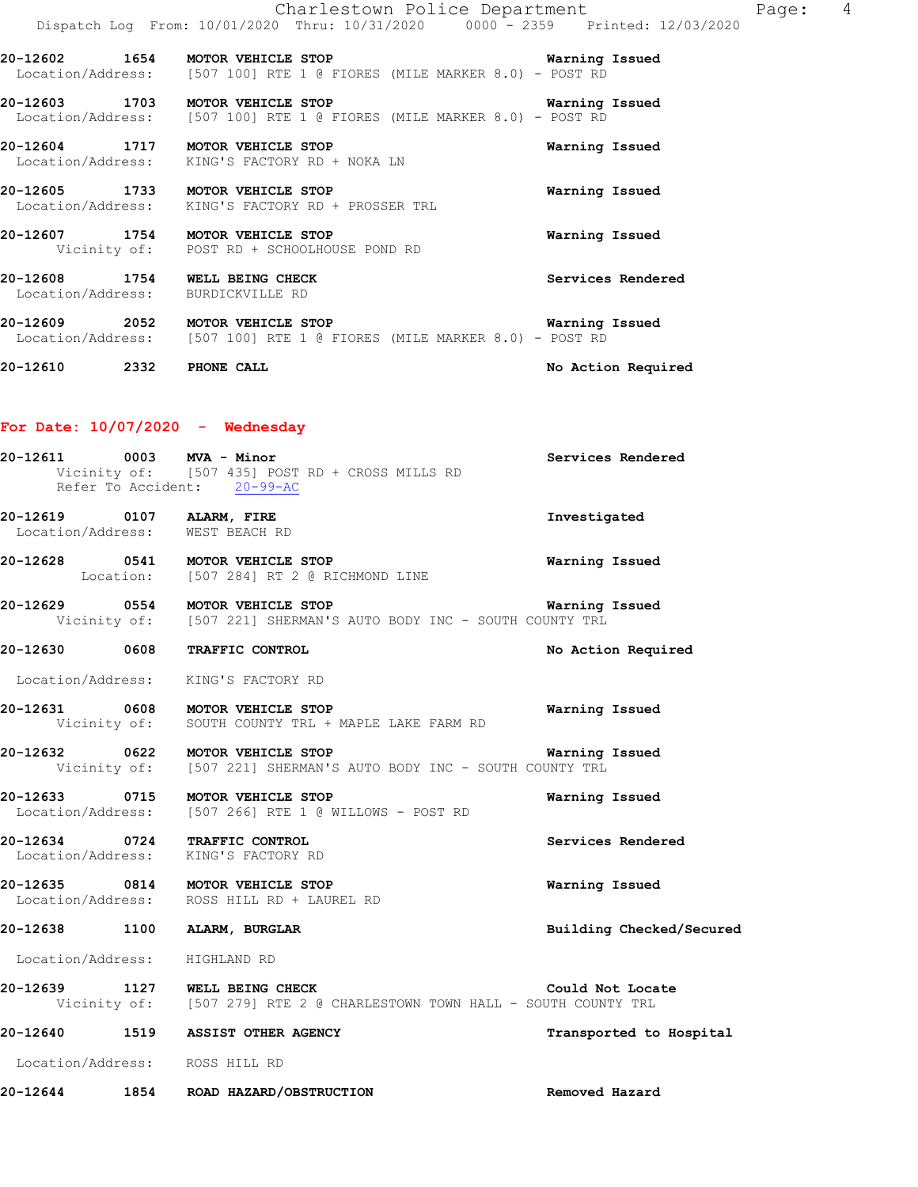|                                                                     | Charlestown Police Department<br>Dispatch Log From: 10/01/2020 Thru: 10/31/2020 0000 - 2359 Printed: 12/03/2020           |                    | Page: | 4 |
|---------------------------------------------------------------------|---------------------------------------------------------------------------------------------------------------------------|--------------------|-------|---|
|                                                                     | 20-12602 1654 MOTOR VEHICLE STOP Narning Issued<br>Location/Address: [507 100] RTE 1 @ FIORES (MILE MARKER 8.0) - POST RD |                    |       |   |
|                                                                     | 20-12603 1703 MOTOR VEHICLE STOP<br>Location/Address: [507 100] RTE 1 @ FIORES (MILE MARKER 8.0) - POST RD                | Warning Issued     |       |   |
|                                                                     | 20-12604 1717 MOTOR VEHICLE STOP<br>Location/Address: KING'S FACTORY RD + NOKA LN                                         | Warning Issued     |       |   |
| 20-12605 1733 MOTOR VEHICLE STOP                                    | Location/Address: KING'S FACTORY RD + PROSSER TRL                                                                         | Warning Issued     |       |   |
| 20-12607 1754 MOTOR VEHICLE STOP                                    | Vicinity of: POST RD + SCHOOLHOUSE POND RD                                                                                | Warning Issued     |       |   |
| 20-12608 1754 WELL BEING CHECK<br>Location/Address: BURDICKVILLE RD |                                                                                                                           | Services Rendered  |       |   |
|                                                                     | 20-12609 2052 MOTOR VEHICLE STOP Narning Issued<br>Location/Address: [507 100] RTE 1 @ FIORES (MILE MARKER 8.0) - POST RD |                    |       |   |
| 20-12610 2332 PHONE CALL                                            |                                                                                                                           | No Action Required |       |   |

# **For Date: 10/07/2020 - Wednesday**

| 20-12611 0003 MVA - Minor      | Vicinity of: [507 435] POST RD + CROSS MILLS RD<br>Refer To Accident: 20-99-AC                                                        | Services Rendered        |
|--------------------------------|---------------------------------------------------------------------------------------------------------------------------------------|--------------------------|
| 20-12619 0107 ALARM, FIRE      | Location/Address: WEST BEACH RD                                                                                                       | Investigated             |
|                                | 20-12628 0541 MOTOR VEHICLE STOP<br>Location: [507 284] RT 2 @ RICHMOND LINE                                                          | <b>Warning Issued</b>    |
|                                | 20-12629 0554 MOTOR VEHICLE STOP <b>1200 1200 Warning Issued</b><br>Vicinity of: [507 221] SHERMAN'S AUTO BODY INC - SOUTH COUNTY TRL |                          |
|                                | 20-12630 0608 TRAFFIC CONTROL                                                                                                         | No Action Required       |
|                                | Location/Address: KING'S FACTORY RD                                                                                                   |                          |
|                                | 20-12631 0608 MOTOR VEHICLE STOP<br>Vicinity of: SOUTH COUNTY TRL + MAPLE LAKE FARM RD                                                | Warning Issued           |
|                                | 20-12632 0622 MOTOR VEHICLE STOP<br>Vicinity of: [507 221] SHERMAN'S AUTO BODY INC - SOUTH COUNTY TRL                                 | Warning Issued           |
|                                | 20-12633 0715 MOTOR VEHICLE STOP<br>Location/Address: [507 266] RTE 1 @ WILLOWS - POST RD                                             | Warning Issued           |
|                                | 20-12634 0724 TRAFFIC CONTROL<br>Location/Address: KING'S FACTORY RD                                                                  | Services Rendered        |
|                                | 20-12635 0814 MOTOR VEHICLE STOP<br>Location/Address: ROSS HILL RD + LAUREL RD                                                        | Warning Issued           |
|                                | 20-12638 1100 ALARM, BURGLAR                                                                                                          | Building Checked/Secured |
| Location/Address: HIGHLAND RD  |                                                                                                                                       |                          |
|                                | 20-12639 1127 WELL BEING CHECK<br>Vicinity of: [507 279] RTE 2 @ CHARLESTOWN TOWN HALL - SOUTH COUNTY TRL                             | Could Not Locate         |
|                                | 20-12640 1519 ASSIST OTHER AGENCY                                                                                                     | Transported to Hospital  |
| Location/Address: ROSS HILL RD |                                                                                                                                       |                          |

**20-12644 1854 ROAD HAZARD/OBSTRUCTION Removed Hazard**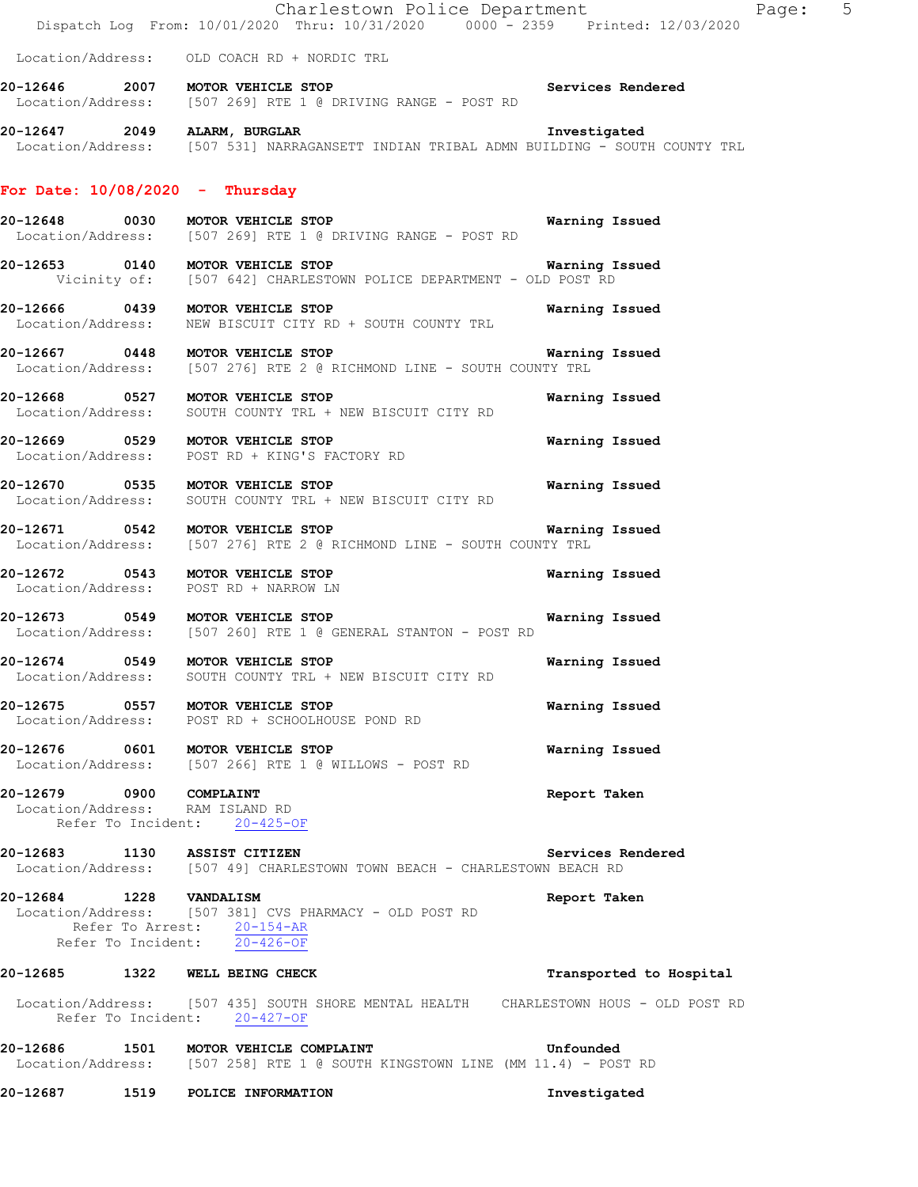|                         | Dispatch Log From: 10/01/2020 Thru: 10/31/2020 0000 - 2359 Printed: 12/03/2020                                                    | Charlestown Police Department<br>Page: 5 |  |
|-------------------------|-----------------------------------------------------------------------------------------------------------------------------------|------------------------------------------|--|
|                         | Location/Address: OLD COACH RD + NORDIC TRL                                                                                       |                                          |  |
|                         | 20-12646 2007 MOTOR VEHICLE STOP                                                                                                  | Services Rendered                        |  |
|                         | Location/Address: [507 269] RTE 1 @ DRIVING RANGE - POST RD                                                                       |                                          |  |
|                         | 20-12647 2049 ALARM, BURGLAR<br>Location/Address: [507 531] NARRAGANSETT INDIAN TRIBAL ADMN BUILDING - SOUTH COUNTY TRL           | Investigated                             |  |
|                         | For Date: $10/08/2020 -$ Thursday                                                                                                 |                                          |  |
|                         | 20-12648 0030 MOTOR VEHICLE STOP<br>Location/Address: [507 269] RTE 1 @ DRIVING RANGE - POST RD                                   | Warning Issued                           |  |
|                         | 20-12653 0140 MOTOR VEHICLE STOP Warning I<br>Vicinity of: [507 642] CHARLESTOWN POLICE DEPARTMENT - OLD POST RD                  | Warning Issued                           |  |
|                         | 20-12666 0439 MOTOR VEHICLE STOP<br>Location/Address: NEW BISCUIT CITY RD + SOUTH COUNTY TRL                                      | Warning Issued                           |  |
|                         | 20-12667 0448 MOTOR VEHICLE STOP Warnin<br>Location/Address: [507 276] RTE 2 @ RICHMOND LINE - SOUTH COUNTY TRL                   | Warning Issued                           |  |
|                         | 20-12668 0527 MOTOR VEHICLE STOP<br>Location/Address: SOUTH COUNTY TRL + NEW BISCUIT CITY RD                                      | Warning Issued                           |  |
|                         | 20-12669 0529 MOTOR VEHICLE STOP<br>Location/Address: POST RD + KING'S FACTORY RD                                                 | Warning Issued                           |  |
|                         | 20-12670 0535 MOTOR VEHICLE STOP<br>Location/Address: SOUTH COUNTY TRL + NEW BISCUIT CITY RD                                      | Warning Issued                           |  |
|                         | 20-12671 0542 MOTOR VEHICLE STOP<br>Location/Address: [507 276] RTE 2 @ RICHMOND LINE - SOUTH COUNTY TRL                          | Warning Issued                           |  |
|                         | 20-12672 0543 MOTOR VEHICLE STOP<br>Location/Address: POST RD + NARROW LN                                                         | Warning Issued                           |  |
|                         | 20-12673 0549 MOTOR VEHICLE STOP<br>Location/Address: [507 260] RTE 1 @ GENERAL STANTON - POST RD                                 | Warning Issued                           |  |
|                         | 20-12674 0549 MOTOR VEHICLE STOP<br>Location/Address: SOUTH COUNTY TRL + NEW BISCUIT CITY RD                                      | Warning Issued                           |  |
|                         | 20-12675 0557 MOTOR VEHICLE STOP<br>Location/Address: POST RD + SCHOOLHOUSE POND RD                                               | Warning Issued                           |  |
|                         | 20-12676 0601 MOTOR VEHICLE STOP<br>Location/Address: [507 266] RTE 1 @ WILLOWS - POST RD                                         | Warning Issued                           |  |
| 20-12679 0900 COMPLAINT | Location/Address: RAM ISLAND RD<br>Refer To Incident: 20-425-OF                                                                   | Report Taken                             |  |
|                         | 20-12683 1130 ASSIST CITIZEN<br>Location/Address: [507 49] CHARLESTOWN TOWN BEACH - CHARLESTOWN BEACH RD                          | Services Rendered                        |  |
| 20-12684 1228 VANDALISM | Location/Address: [507 381] CVS PHARMACY - OLD POST RD<br>Refer To Arrest: 20-154-AR<br>Refer To Incident: $\overline{20-426-OF}$ | Report Taken                             |  |
|                         | 20-12685 1322 WELL BEING CHECK                                                                                                    | Transported to Hospital                  |  |
|                         | Location/Address: [507 435] SOUTH SHORE MENTAL HEALTH CHARLESTOWN HOUS - OLD POST RD<br>Refer To Incident: 20-427-OF              |                                          |  |
|                         | 20-12686 1501 MOTOR VEHICLE COMPLAINT<br>Location/Address: [507 258] RTE 1 @ SOUTH KINGSTOWN LINE (MM 11.4) - POST RD             | Unfounded                                |  |
|                         | 20-12687 1519 POLICE INFORMATION                                                                                                  | Investigated                             |  |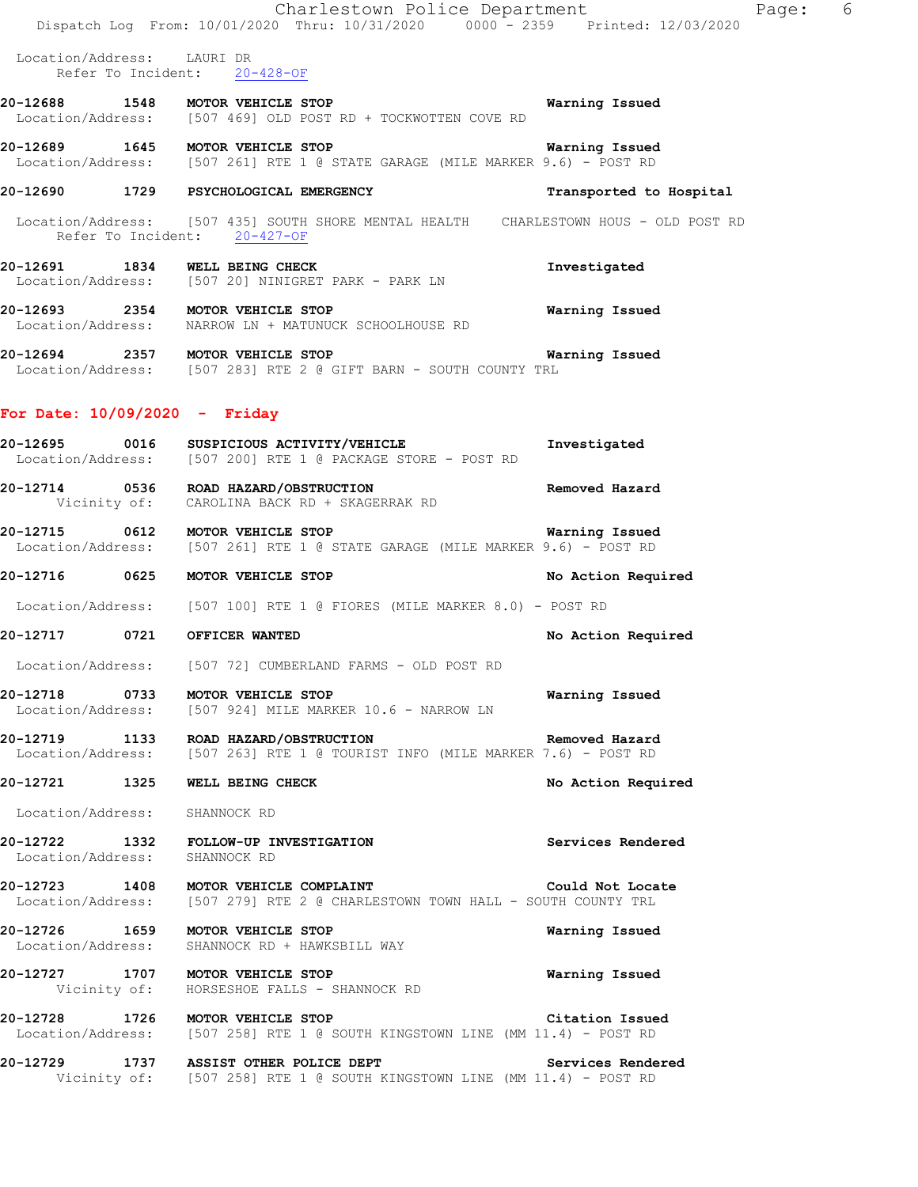|                                 | Charlestown Police Department<br>Dispatch Log From: 10/01/2020 Thru: 10/31/2020 0000 - 2359 Printed: 12/03/2020                                                  |                         | Page: 6 |
|---------------------------------|------------------------------------------------------------------------------------------------------------------------------------------------------------------|-------------------------|---------|
| Location/Address: LAURI DR      | Refer To Incident: 20-428-OF                                                                                                                                     |                         |         |
|                                 | 20-12688 1548 MOTOR VEHICLE STOP<br>Location/Address: [507 469] OLD POST RD + TOCKWOTTEN COVE RD                                                                 | Warning Issued          |         |
|                                 | 20-12689 1645 MOTOR VEHICLE STOP<br>Location/Address: [507 261] RTE 1 @ STATE GARAGE (MILE MARKER 9.6) - POST RD                                                 | Warning Issued          |         |
|                                 | 20-12690 1729 PSYCHOLOGICAL EMERGENCY                                                                                                                            | Transported to Hospital |         |
|                                 | Location/Address: [507 435] SOUTH SHORE MENTAL HEALTH CHARLESTOWN HOUS - OLD POST RD<br>Refer To Incident: 20-427-OF                                             |                         |         |
|                                 | 20-12691 1834 WELL BEING CHECK<br>Location/Address: [507 20] NINIGRET PARK - PARK LN                                                                             | Investigated            |         |
|                                 | 20-12693 2354 MOTOR VEHICLE STOP<br>Location/Address: NARROW LN + MATUNUCK SCHOOLHOUSE RD                                                                        | Warning Issued          |         |
|                                 |                                                                                                                                                                  | Warning Issued          |         |
| For Date: $10/09/2020 -$ Friday |                                                                                                                                                                  |                         |         |
|                                 | 20-12695 0016 SUSPICIOUS ACTIVITY/VEHICLE<br>Location/Address: [507 200] RTE 1 @ PACKAGE STORE - POST RD                                                         | Investigated            |         |
|                                 | 20-12714 0536 ROAD HAZARD/OBSTRUCTION<br>Vicinity of: CAROLINA BACK RD + SKAGERRAK RD                                                                            | Removed Hazard          |         |
|                                 | 20-12715 0612 MOTOR VEHICLE STOP <b>128 CONTENT CONTRACT CONTRACT OF A SECON</b><br>Location/Address: [507 261] RTE 1 @ STATE GARAGE (MILE MARKER 9.6) - POST RD |                         |         |
|                                 | 20-12716 0625 MOTOR VEHICLE STOP                                                                                                                                 | No Action Required      |         |
|                                 | Location/Address: [507 100] RTE 1 @ FIORES (MILE MARKER 8.0) - POST RD                                                                                           |                         |         |
|                                 |                                                                                                                                                                  | No Action Required      |         |
|                                 | Location/Address: [507 72] CUMBERLAND FARMS - OLD POST RD                                                                                                        |                         |         |
|                                 | 20-12718 0733 MOTOR VEHICLE STOP<br>Location/Address: [507 924] MILE MARKER 10.6 - NARROW LN                                                                     | Warning Issued          |         |
|                                 | 20-12719 1133 ROAD HAZARD/OBSTRUCTION<br>Location/Address: [507 263] RTE 1 @ TOURIST INFO (MILE MARKER 7.6) - POST RD                                            | Removed Hazard          |         |
|                                 | 20-12721 1325 WELL BEING CHECK                                                                                                                                   | No Action Required      |         |
| Location/Address: SHANNOCK RD   |                                                                                                                                                                  |                         |         |
| Location/Address: SHANNOCK RD   | 20-12722 1332 FOLLOW-UP INVESTIGATION                                                                                                                            | Services Rendered       |         |
|                                 | 20-12723   1408   MOTOR VEHICLE COMPLAINT<br>Location/Address: [507 279] RTE 2 @ CHARLESTOWN TOWN HALL - SOUTH COUNTY TRL                                        | Could Not Locate        |         |
|                                 | 20-12726 1659 MOTOR VEHICLE STOP<br>Location/Address: SHANNOCK RD + HAWKSBILL WAY                                                                                | Warning Issued          |         |
|                                 | 20-12727 1707 MOTOR VEHICLE STOP<br>Vicinity of: HORSESHOE FALLS - SHANNOCK RD                                                                                   | <b>Warning Issued</b>   |         |
|                                 | 20-12728 1726 MOTOR VEHICLE STOP<br>Location/Address: [507 258] RTE 1 @ SOUTH KINGSTOWN LINE (MM 11.4) - POST RD                                                 | Citation Issued         |         |
|                                 | 20-12729 1737 ASSIST OTHER POLICE DEPT<br>Vicinity of: [507 258] RTE 1 @ SOUTH KINGSTOWN LINE (MM 11.4) - POST RD                                                | Services Rendered       |         |
|                                 |                                                                                                                                                                  |                         |         |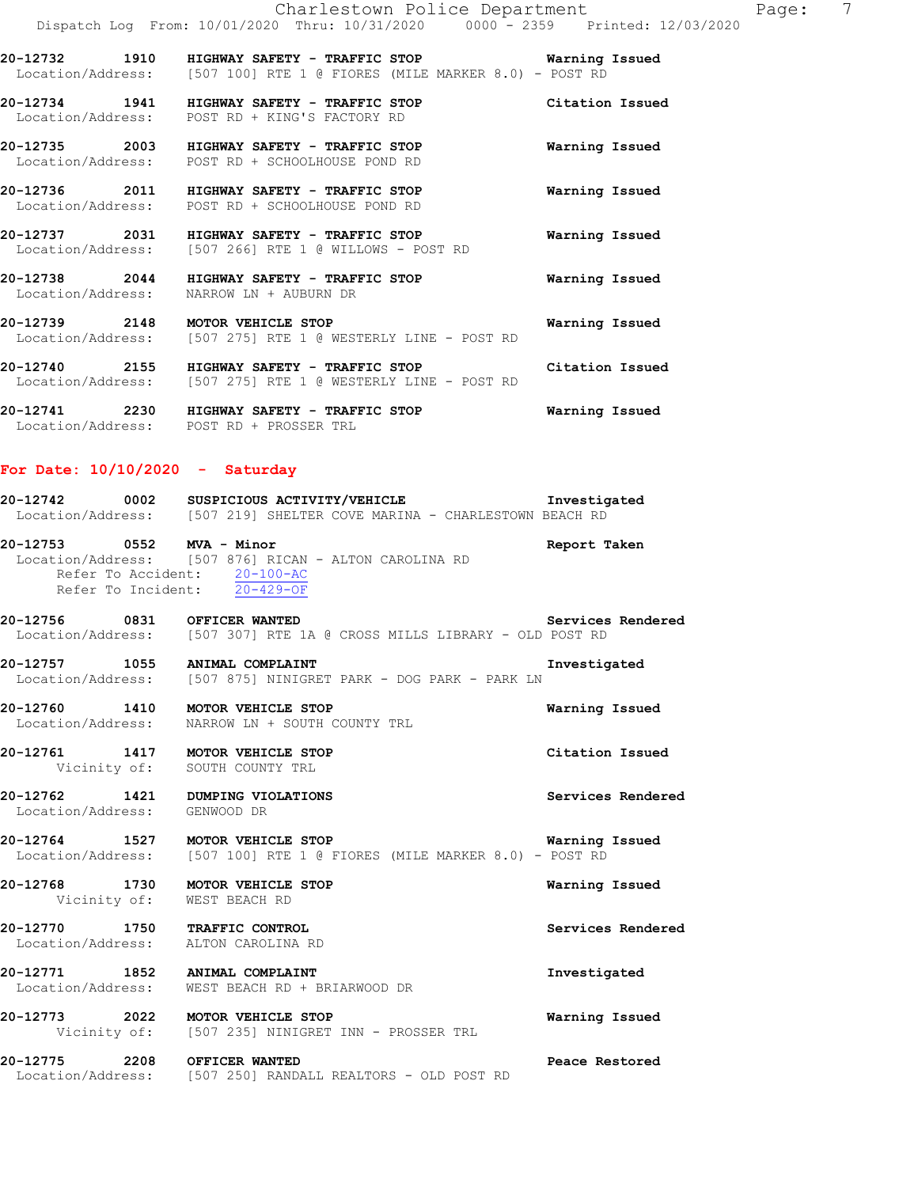**20-12732 1910 HIGHWAY SAFETY - TRAFFIC STOP Warning Issued**  Location/Address: [507 100] RTE 1 @ FIORES (MILE MARKER 8.0) - POST RD

**20-12734 1941 HIGHWAY SAFETY - TRAFFIC STOP Citation Issued**  Location/Address: POST RD + KING'S FACTORY RD

**20-12735 2003 HIGHWAY SAFETY - TRAFFIC STOP Warning Issued**  Location/Address: POST RD + SCHOOLHOUSE POND RD

**20-12736 2011 HIGHWAY SAFETY - TRAFFIC STOP Warning Issued**  Location/Address: POST RD + SCHOOLHOUSE POND RD

**20-12737 2031 HIGHWAY SAFETY - TRAFFIC STOP Warning Issued**  Location/Address: [507 266] RTE 1 @ WILLOWS - POST RD

**20-12738 2044 HIGHWAY SAFETY - TRAFFIC STOP Warning Issued**  Location/Address: NARROW LN + AUBURN DR

**20-12739 2148 MOTOR VEHICLE STOP Warning Issued** Location/Address: [507 275] RTE 1 @ WESTERLY LINE - POST RD [507 275] RTE 1 @ WESTERLY LINE - POST RD

**20-12740 2155 HIGHWAY SAFETY - TRAFFIC STOP Citation Issued**  Location/Address: [507 275] RTE 1 @ WESTERLY LINE - POST RD

**20-12741 2230 HIGHWAY SAFETY - TRAFFIC STOP Warning Issued**  Location/Address: POST RD + PROSSER TRL

#### **For Date: 10/10/2020 - Saturday**

**20-12742 0002 SUSPICIOUS ACTIVITY/VEHICLE Investigated**  Location/Address: [507 219] SHELTER COVE MARINA - CHARLESTOWN BEACH RD

**20-12753 0552 MVA - Minor Report Taken**  Location/Address: [507 876] RICAN - ALTON CAROLINA RD Refer To Accident: 20-100-AC Refer To Incident: 20-429-OF

**20-12756 0831 OFFICER WANTED Services Rendered**  Location/Address: [507 307] RTE 1A @ CROSS MILLS LIBRARY - OLD POST RD

**20-12757 1055 ANIMAL COMPLAINT Investigated**  Location/Address: [507 875] NINIGRET PARK - DOG PARK - PARK LN

**20-12760 1410 MOTOR VEHICLE STOP Warning Issued**  Location/Address: NARROW LN + SOUTH COUNTY TRL

**20-12761 1417 MOTOR VEHICLE STOP Citation Issued**  Vicinity of: SOUTH COUNTY TRL

**20-12762 1421 DUMPING VIOLATIONS Services Rendered**  Location/Address: GENWOOD DR

**20-12764 1527 MOTOR VEHICLE STOP Warning Issued**  Location/Address: [507 100] RTE 1 @ FIORES (MILE MARKER 8.0) - POST RD

**20-12768 1730 MOTOR VEHICLE STOP Warning Issued**  Vicinity of: WEST BEACH RD

**20-12770 1750 TRAFFIC CONTROL Services Rendered**  Location/Address: ALTON CAROLINA RD

**20-12771 1852 ANIMAL COMPLAINT Investigated**  Location/Address: WEST BEACH RD + BRIARWOOD DR

**20-12773 2022 MOTOR VEHICLE STOP Warning Issued**  Vicinity of: [507 235] NINIGRET INN - PROSSER TRL

**20-12775 2208 OFFICER WANTED Peace Restored**  Location/Address: [507 250] RANDALL REALTORS - OLD POST RD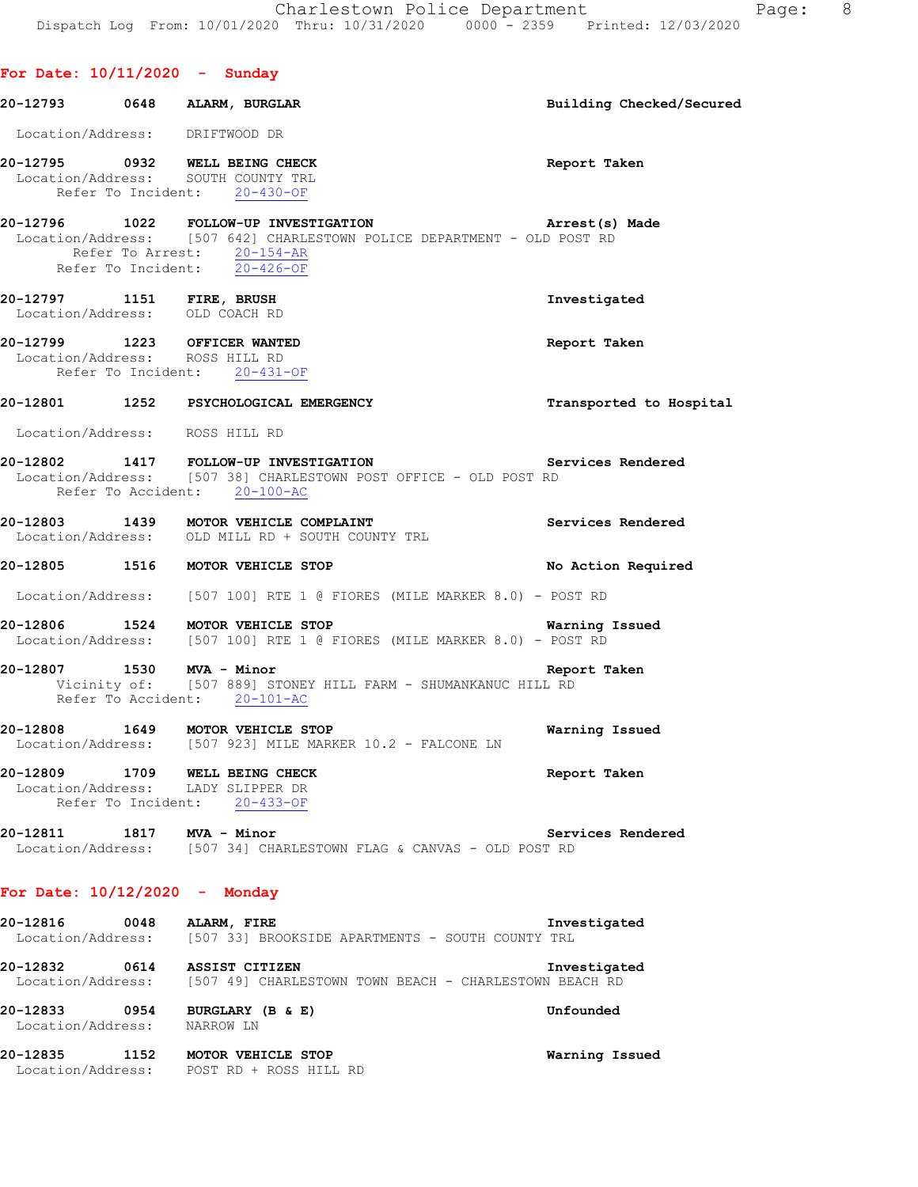| For Date: $10/11/2020 -$ Sunday |                                                                                                                                                                                                        |                          |
|---------------------------------|--------------------------------------------------------------------------------------------------------------------------------------------------------------------------------------------------------|--------------------------|
|                                 | 20-12793 0648 ALARM, BURGLAR                                                                                                                                                                           | Building Checked/Secured |
|                                 | Location/Address: DRIFTWOOD DR                                                                                                                                                                         |                          |
|                                 | 20-12795 0932 WELL BEING CHECK<br>Location/Address: SOUTH COUNTY TRL<br>Refer To Incident: 20-430-OF                                                                                                   | Report Taken             |
|                                 | 20-12796 1022 FOLLOW-UP INVESTIGATION RESERT MEST Arrest(s) Made Location/Address: [507 642] CHARLESTOWN POLICE DEPARTMENT - OLD POST RD<br>Refer To Arrest: 20-154-AR<br>Refer To Incident: 20-426-OF |                          |
|                                 | 20-12797 1151 FIRE, BRUSH<br>Location/Address: OLD COACH RD                                                                                                                                            | Investigated             |
|                                 | 20-12799 1223 OFFICER WANTED<br>Location/Address: ROSS HILL RD<br>Refer To Incident: 20-431-OF                                                                                                         | Report Taken             |
|                                 | 20-12801 1252 PSYCHOLOGICAL EMERGENCY                                                                                                                                                                  | Transported to Hospital  |
|                                 | Location/Address: ROSS HILL RD                                                                                                                                                                         |                          |
|                                 | 20-12802 1417 FOLLOW-UP INVESTIGATION Services Rendered<br>Location/Address: [507 38] CHARLESTOWN POST OFFICE - OLD POST RD<br>Refer To Accident: 20-100-AC                                            |                          |
|                                 | 20-12803 1439 MOTOR VEHICLE COMPLAINT<br>Location/Address: OLD MILL RD + SOUTH COUNTY TRL                                                                                                              | Services Rendered        |
|                                 | 20-12805 1516 MOTOR VEHICLE STOP                                                                                                                                                                       | No Action Required       |
|                                 | Location/Address: [507 100] RTE 1 @ FIORES (MILE MARKER 8.0) - POST RD                                                                                                                                 |                          |
|                                 | 20-12806 1524 MOTOR VEHICLE STOP<br>Location/Address: [507 100] RTE 1 @ FIORES (MILE MARKER 8.0) - POST RD                                                                                             | Warning Issued           |
|                                 | 20-12807 1530 MVA - Minor<br>Report Taken<br>Vicinity of: [507 889] STONEY HILL FARM - SHUMANKANUC HILL RD<br>Refer To Accident: 20-101-AC                                                             |                          |
|                                 | 20-12808 1649 MOTOR VEHICLE STOP<br>Location/Address: [507 923] MILE MARKER 10.2 - FALCONE LN                                                                                                          | Warning Issued           |
|                                 | 20-12809 1709 WELL BEING CHECK<br>Location/Address: LADY SLIPPER DR<br>Refer To Incident: 20-433-OF                                                                                                    | Report Taken             |
| 20-12811 1817 MVA - Minor       | Location/Address: [507 34] CHARLESTOWN FLAG & CANVAS - OLD POST RD                                                                                                                                     | Services Rendered        |

## **For Date: 10/12/2020 - Monday**

| 20-12816<br>Location/Address: | 0048 | ALARM, FIRE<br>[507_33] BROOKSIDE APARTMENTS - SOUTH COUNTY TRL                            | Investigated |
|-------------------------------|------|--------------------------------------------------------------------------------------------|--------------|
| 20-12832                      | 0614 | ASSIST CITIZEN<br>Location/Address: [507 49] CHARLESTOWN TOWN BEACH - CHARLESTOWN BEACH RD | Investigated |
| 20-12833<br>Location/Address: | 0954 | BURGLARY (B & E)<br>NARROW LN                                                              | Unfounded    |

**20-12835 1152 MOTOR VEHICLE STOP Warning Issued**  Location/Address: POST RD + ROSS HILL RD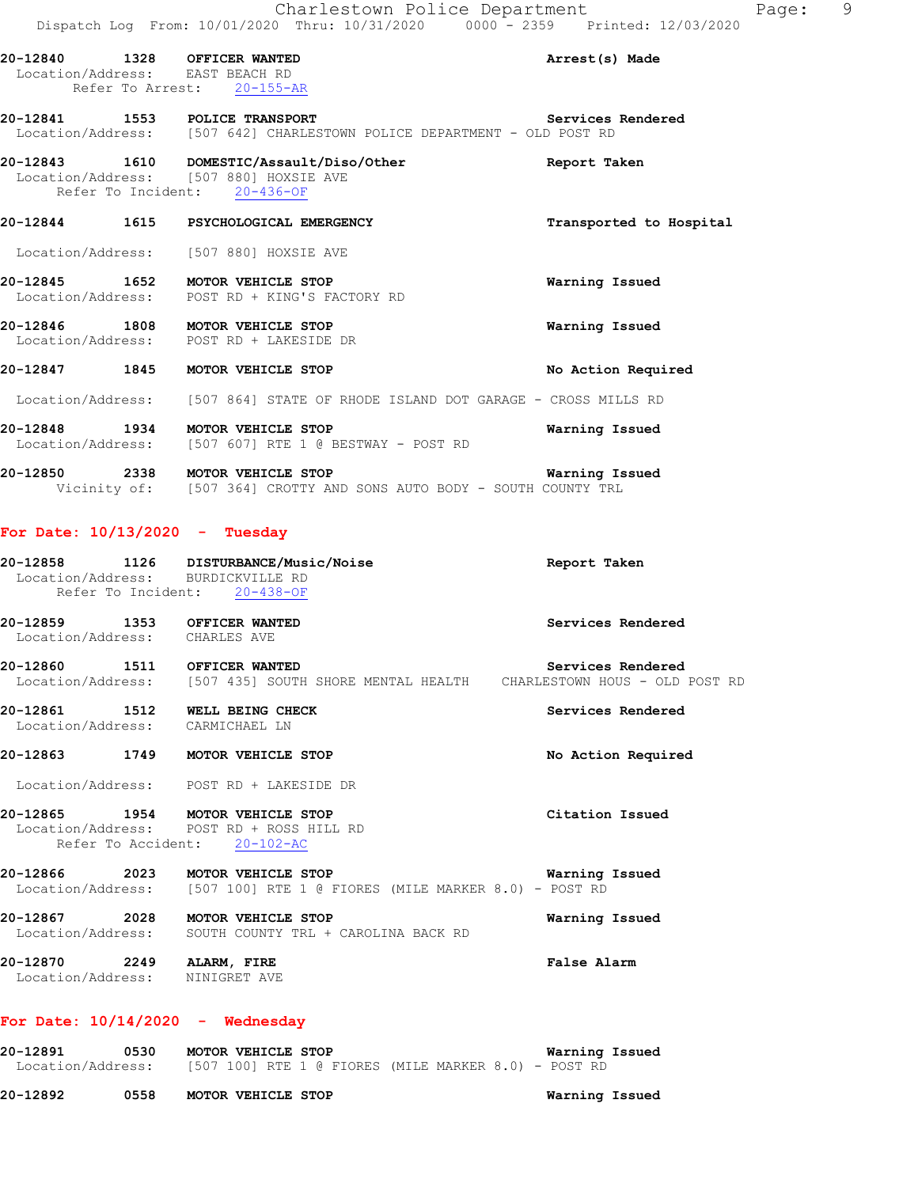| 20-12840 1328 OFFICER WANTED<br>Location/Address: EAST BEACH RD | Refer To Arrest: 20-155-AR                                                                                          | Arrest(s) Made          |
|-----------------------------------------------------------------|---------------------------------------------------------------------------------------------------------------------|-------------------------|
| 20-12841 1553 POLICE TRANSPORT                                  | Location/Address: [507 642] CHARLESTOWN POLICE DEPARTMENT - OLD POST RD                                             | Services Rendered       |
|                                                                 | 20-12843 1610 DOMESTIC/Assault/Diso/Other<br>Location/Address: [507 880] HOXSIE AVE<br>Refer To Incident: 20-436-OF | Report Taken            |
|                                                                 | 20-12844 1615 PSYCHOLOGICAL EMERGENCY                                                                               | Transported to Hospital |
|                                                                 | Location/Address: [507 880] HOXSIE AVE                                                                              |                         |
| 20-12845 1652 MOTOR VEHICLE STOP                                | Location/Address: POST RD + KING'S FACTORY RD                                                                       | Warning Issued          |
| 20-12846 1808 MOTOR VEHICLE STOP                                | Location/Address: POST RD + LAKESIDE DR                                                                             | Warning Issued          |
| 20-12847 1845 MOTOR VEHICLE STOP                                |                                                                                                                     | No Action Required      |
|                                                                 | Location/Address: [507 864] STATE OF RHODE ISLAND DOT GARAGE - CROSS MILLS RD                                       |                         |
| 20-12848 1934 MOTOR VEHICLE STOP                                | Location/Address: [507 607] RTE 1 @ BESTWAY - POST RD                                                               | Warning Issued          |
| 20-12850 2338 MOTOR VEHICLE STOP                                | Vicinity of: [507 364] CROTTY AND SONS AUTO BODY - SOUTH COUNTY TRL                                                 | Warning Issued          |
| For Date: $10/13/2020 -$ Tuesday                                |                                                                                                                     |                         |
| Location/Address: BURDICKVILLE RD                               | 20-12858 1126 DISTURBANCE/Music/Noise                                                                               | Report Taken            |

- Refer To Incident: 20-438-OF
- **20-12859 1353 OFFICER WANTED Services Rendered**  Location/Address: CHARLES AVE
- **20-12860 1511 OFFICER WANTED Services Rendered**  Location/Address: [507 435] SOUTH SHORE MENTAL HEALTH CHARLESTOWN HOUS - OLD POST RD
- **20-12861 1512 WELL BEING CHECK Services Rendered**  Location/Address: CARMICHAEL LN

#### **20-12863 1749 MOTOR VEHICLE STOP No Action Required**

Location/Address: POST RD + LAKESIDE DR

- **20-12865 1954 MOTOR VEHICLE STOP Citation Issued**  Location/Address: POST RD + ROSS HILL RD Refer To Accident: 20-102-AC
- **20-12866 2023 MOTOR VEHICLE STOP Warning Issued**  Location/Address: [507 100] RTE 1 @ FIORES (MILE MARKER 8.0) - POST RD
- **20-12867 2028 MOTOR VEHICLE STOP Warning Issued**  Location/Address: SOUTH COUNTY TRL + CAROLINA BACK RD **20-12870 2249 ALARM, FIRE False Alarm**
- Location/Address: NINIGRET AVE

## **For Date: 10/14/2020 - Wednesday**

| 20-12891          | 0530 | MOTOR VEHICLE STOP |  |  |                                                        |  |  |  | Warning Issued |
|-------------------|------|--------------------|--|--|--------------------------------------------------------|--|--|--|----------------|
| Location/Address: |      |                    |  |  | $[507 100]$ RTE 1 @ FIORES (MILE MARKER 8.0) - POST RD |  |  |  |                |

**20-12892 0558 MOTOR VEHICLE STOP Warning Issued**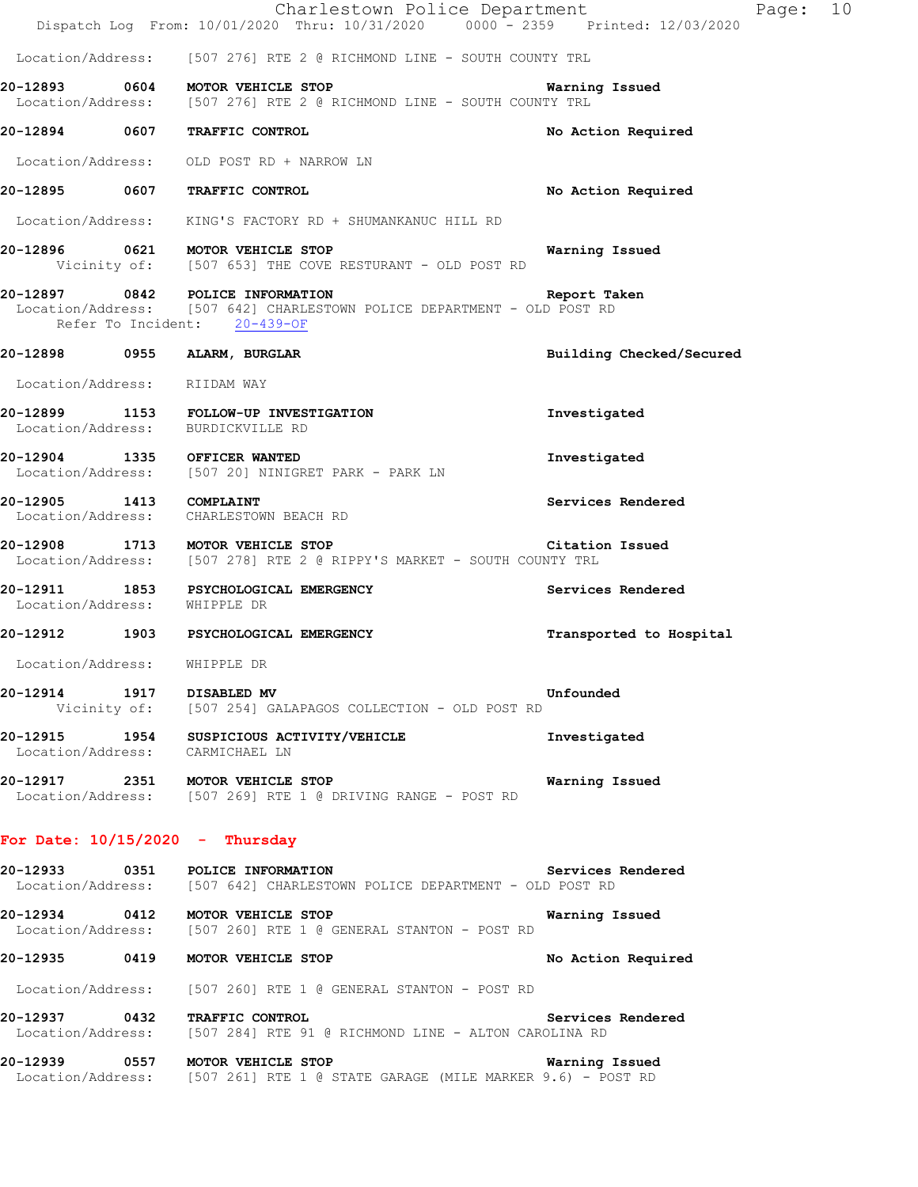|                                   | Charlestown Police Department<br>Dispatch Log From: 10/01/2020 Thru: 10/31/2020 0000 - 2359 Printed: 12/03/2020                             |                          | Page: 10 |  |
|-----------------------------------|---------------------------------------------------------------------------------------------------------------------------------------------|--------------------------|----------|--|
|                                   | Location/Address: [507 276] RTE 2 @ RICHMOND LINE - SOUTH COUNTY TRL                                                                        |                          |          |  |
|                                   | 20-12893 0604 MOTOR VEHICLE STOP<br>Location/Address: [507 276] RTE 2 @ RICHMOND LINE - SOUTH COUNTY TRL                                    | Warning Issued           |          |  |
|                                   | 20-12894 0607 TRAFFIC CONTROL                                                                                                               | No Action Required       |          |  |
|                                   | Location/Address: OLD POST RD + NARROW LN                                                                                                   |                          |          |  |
|                                   | 20-12895 0607 TRAFFIC CONTROL                                                                                                               | No Action Required       |          |  |
|                                   | Location/Address: KING'S FACTORY RD + SHUMANKANUC HILL RD                                                                                   |                          |          |  |
|                                   | 20-12896 0621 MOTOR VEHICLE STOP<br>Vicinity of: [507 653] THE COVE RESTURANT - OLD POST RD                                                 | Warning Issued           |          |  |
|                                   | 20-12897 0842 POLICE INFORMATION<br>Location/Address: [507 642] CHARLESTOWN POLICE DEPARTMENT - OLD POST RD<br>Refer To Incident: 20-439-OF | Report Taken             |          |  |
|                                   | 20-12898 0955 ALARM, BURGLAR                                                                                                                | Building Checked/Secured |          |  |
| Location/Address: RIIDAM WAY      |                                                                                                                                             |                          |          |  |
|                                   | 20-12899 1153 FOLLOW-UP INVESTIGATION<br>Location/Address: BURDICKVILLE RD                                                                  | Investigated             |          |  |
|                                   | 20-12904 1335 OFFICER WANTED<br>Location/Address: [507 20] NINIGRET PARK - PARK LN                                                          | Investigated             |          |  |
| 20-12905 1413 COMPLAINT           | Location/Address: CHARLESTOWN BEACH RD                                                                                                      | Services Rendered        |          |  |
|                                   | 20-12908 1713 MOTOR VEHICLE STOP<br>Location/Address: [507 278] RTE 2 @ RIPPY'S MARKET - SOUTH COUNTY TRL                                   | Citation Issued          |          |  |
| Location/Address: WHIPPLE DR      | 20-12911 1853 PSYCHOLOGICAL EMERGENCY                                                                                                       | Services Rendered        |          |  |
|                                   | 20-12912 1903 PSYCHOLOGICAL EMERGENCY                                                                                                       | Transported to Hospital  |          |  |
| Location/Address:                 | WHIPPLE DR                                                                                                                                  |                          |          |  |
| 20-12914 1917 DISABLED MV         | Vicinity of: [507 254] GALAPAGOS COLLECTION - OLD POST RD                                                                                   | Unfounded                |          |  |
| Location/Address: CARMICHAEL LN   | 20-12915 1954 SUSPICIOUS ACTIVITY/VEHICLE                                                                                                   | Investigated             |          |  |
|                                   | 20-12917 2351 MOTOR VEHICLE STOP<br>Location/Address: [507 269] RTE 1 @ DRIVING RANGE - POST RD                                             | Warning Issued           |          |  |
| For Date: $10/15/2020 -$ Thursday |                                                                                                                                             |                          |          |  |
|                                   | 20-12933 0351 POLICE INFORMATION<br>Location/Address: [507 642] CHARLESTOWN POLICE DEPARTMENT - OLD POST RD                                 | Services Rendered        |          |  |
|                                   | 20-12934 0412 MOTOR VEHICLE STOP<br>Location/Address: [507 260] RTE 1 @ GENERAL STANTON - POST RD                                           | Warning Issued           |          |  |
|                                   | 20-12935 0419 MOTOR VEHICLE STOP                                                                                                            | No Action Required       |          |  |
|                                   | Location/Address: [507 260] RTE 1 @ GENERAL STANTON - POST RD                                                                               |                          |          |  |
|                                   | 20-12937 0432 TRAFFIC CONTROL (20 EXTRICES SETVICES LOCATION/Address: [507 284] RTE 91 @ RICHMOND LINE - ALTON CAROLINA RD                  | Services Rendered        |          |  |
|                                   | 20-12939 0557 MOTOR VEHICLE STOP<br>Location/Address: [507 261] RTE 1 @ STATE GARAGE (MILE MARKER 9.6) - POST RD                            | Warning Issued           |          |  |
|                                   |                                                                                                                                             |                          |          |  |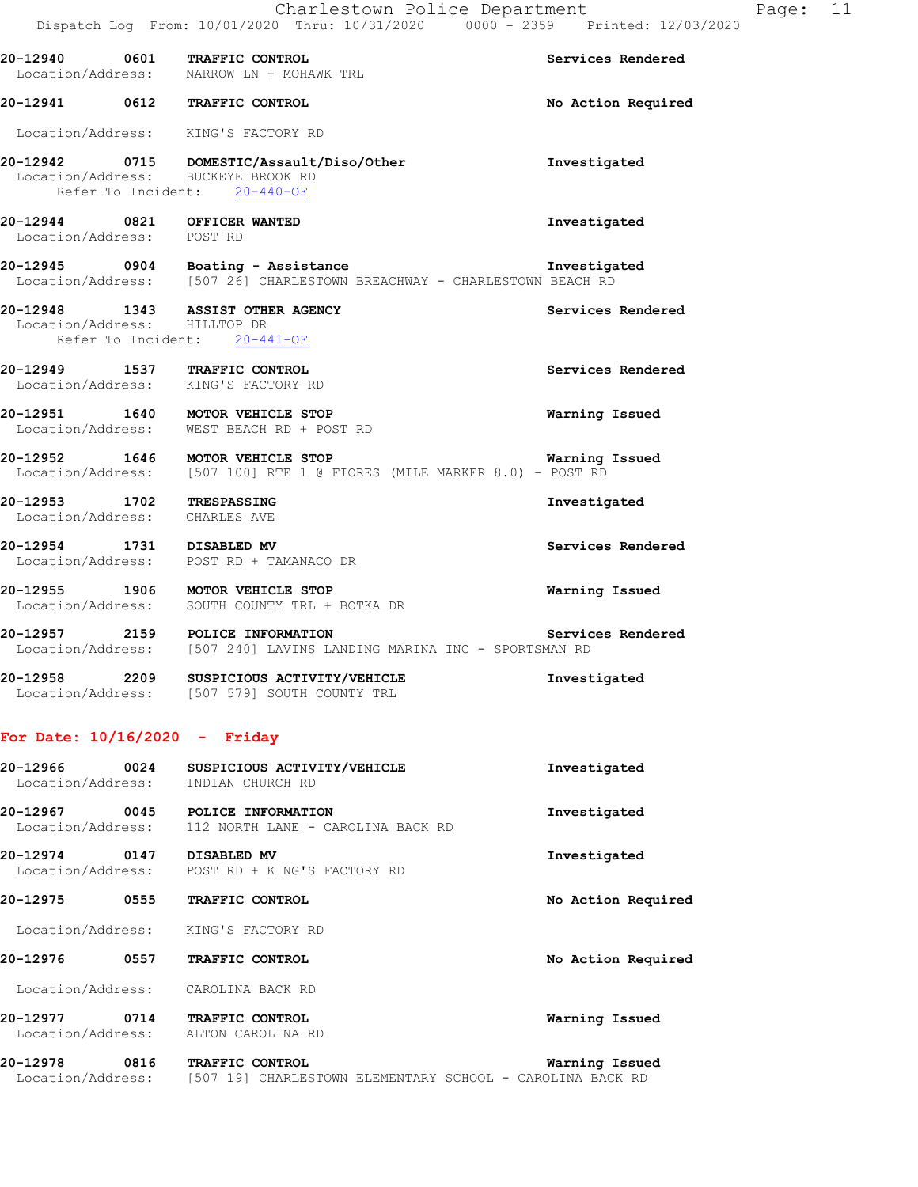|                                 | Charlestown Police Department<br>Dispatch Log From: 10/01/2020 Thru: 10/31/2020 0000 <sup>-</sup> 2359 Printed: 12/03/2020 |                       | Page: 11 |  |
|---------------------------------|----------------------------------------------------------------------------------------------------------------------------|-----------------------|----------|--|
|                                 | 20-12940 0601 TRAFFIC CONTROL<br>Location/Address: NARROW LN + MOHAWK TRL                                                  | Services Rendered     |          |  |
|                                 | 20-12941 0612 TRAFFIC CONTROL                                                                                              | No Action Required    |          |  |
|                                 | Location/Address: KING'S FACTORY RD                                                                                        |                       |          |  |
|                                 | 20-12942 0715 DOMESTIC/Assault/Diso/Other<br>Location/Address: BUCKEYE BROOK RD<br>Refer To Incident: 20-440-OF            | Investigated          |          |  |
| Location/Address: POST RD       | 20-12944 0821 OFFICER WANTED                                                                                               | Investigated          |          |  |
|                                 | 20-12945 0904 Boating - Assistance<br>Location/Address: [507 26] CHARLESTOWN BREACHWAY - CHARLESTOWN BEACH RD              | Investigated          |          |  |
| Location/Address: HILLTOP DR    | 20-12948 1343 ASSIST OTHER AGENCY<br>Refer To Incident: 20-441-OF                                                          | Services Rendered     |          |  |
|                                 | 20-12949 1537 TRAFFIC CONTROL<br>Location/Address: KING'S FACTORY RD                                                       | Services Rendered     |          |  |
|                                 | 20-12951 1640 MOTOR VEHICLE STOP<br>Location/Address: WEST BEACH RD + POST RD                                              | Warning Issued        |          |  |
|                                 | 20-12952 1646 MOTOR VEHICLE STOP<br>Location/Address: [507 100] RTE 1 @ FIORES (MILE MARKER 8.0) - POST RD                 | <b>Warning Issued</b> |          |  |
| Location/Address: CHARLES AVE   | 20-12953 1702 TRESPASSING                                                                                                  | Investigated          |          |  |
|                                 | 20-12954 1731 DISABLED MV<br>Location/Address: POST RD + TAMANACO DR                                                       | Services Rendered     |          |  |
|                                 | 20-12955 1906 MOTOR VEHICLE STOP<br>Location/Address: SOUTH COUNTY TRL + BOTKA DR                                          | Warning Issued        |          |  |
|                                 | 20-12957 2159 POLICE INFORMATION<br>Location/Address: [507 240] LAVINS LANDING MARINA INC - SPORTSMAN RD                   | Services Rendered     |          |  |
| 20-12958                        | 2209 SUSPICIOUS ACTIVITY/VEHICLE<br>Location/Address: [507 579] SOUTH COUNTY TRL                                           | Investigated          |          |  |
| For Date: $10/16/2020 -$ Friday |                                                                                                                            |                       |          |  |
| Location/Address:               | 20-12966 0024 SUSPICIOUS ACTIVITY/VEHICLE<br>INDIAN CHURCH RD                                                              | Investigated          |          |  |
| Location/Address:               | 20-12967 0045 POLICE INFORMATION<br>112 NORTH LANE - CAROLINA BACK RD                                                      | Investigated          |          |  |
| 20-12974 0147 DISABLED MV       | Location/Address: POST RD + KING'S FACTORY RD                                                                              | Investigated          |          |  |
|                                 | 20-12975 0555 TRAFFIC CONTROL                                                                                              | No Action Required    |          |  |
| Location/Address:               | KING'S FACTORY RD                                                                                                          |                       |          |  |
|                                 | 20-12976 0557 TRAFFIC CONTROL                                                                                              | No Action Required    |          |  |
|                                 | Location/Address: CAROLINA BACK RD                                                                                         |                       |          |  |
|                                 | 20-12977 0714 TRAFFIC CONTROL<br>Location/Address: ALTON CAROLINA RD                                                       | Warning Issued        |          |  |

**20-12978 0816 TRAFFIC CONTROL Warning Issued**  Location/Address: [507 19] CHARLESTOWN ELEMENTARY SCHOOL - CAROLINA BACK RD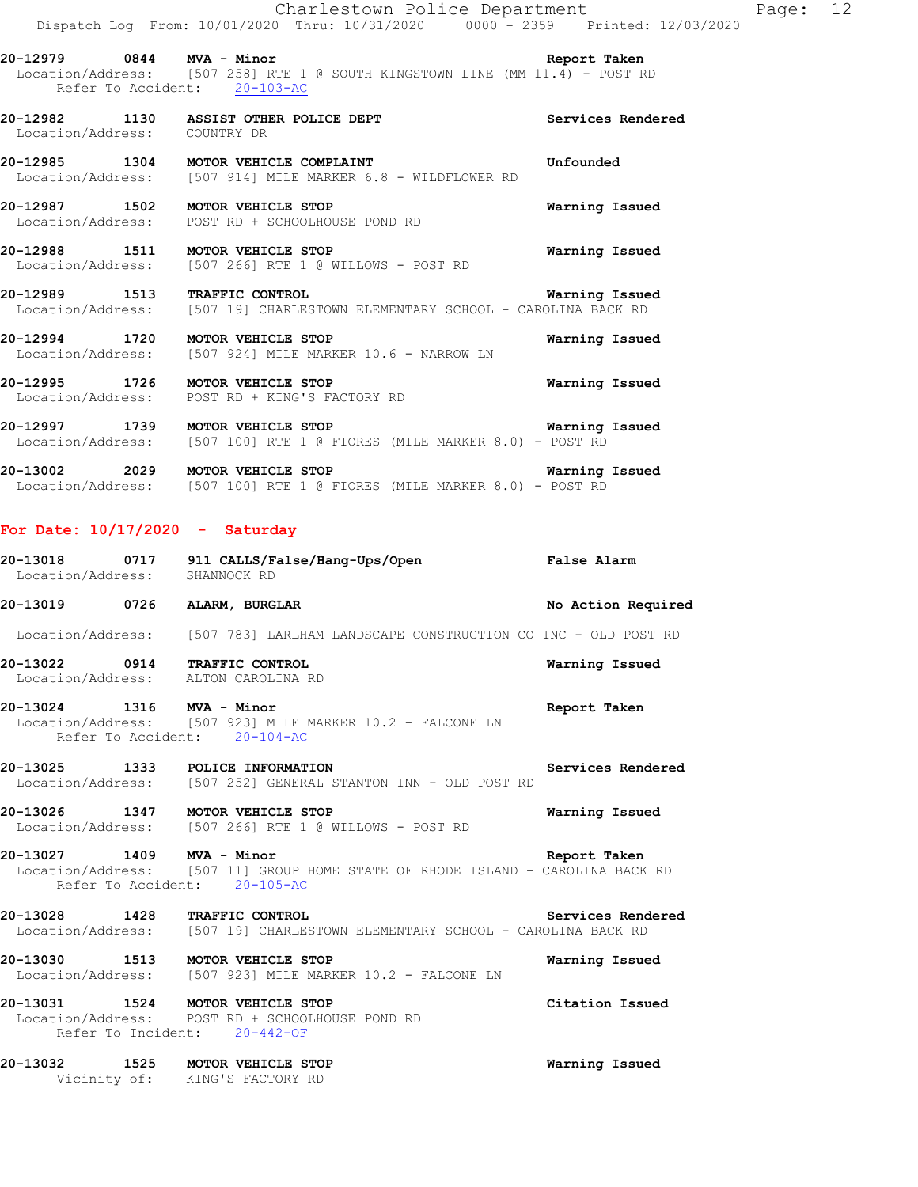**20-12979 0844 MVA - Minor Report Taken**  Location/Address: [507 258] RTE 1 @ SOUTH KINGSTOWN LINE (MM 11.4) - POST RD Refer To Accident: 20-103-AC

**20-12982 1130 ASSIST OTHER POLICE DEPT Services Rendered**  Location/Address: COUNTRY DR

**20-12985 1304 MOTOR VEHICLE COMPLAINT Unfounded**  Location/Address: [507 914] MILE MARKER 6.8 - WILDFLOWER RD

**20-12987 1502 MOTOR VEHICLE STOP Warning Issued**  Location/Address: POST RD + SCHOOLHOUSE POND RD

**20-12988 1511 MOTOR VEHICLE STOP Warning Issued**  Location/Address: [507 266] RTE 1 @ WILLOWS - POST RD

**20-12989 1513 TRAFFIC CONTROL Warning Issued**  Location/Address: [507 19] CHARLESTOWN ELEMENTARY SCHOOL - CAROLINA BACK RD

**20-12994 1720 MOTOR VEHICLE STOP Warning Issued**  Location/Address: [507 924] MILE MARKER 10.6 - NARROW LN

**20-12995 1726 MOTOR VEHICLE STOP Warning Issued**  Location/Address: POST RD + KING'S FACTORY RD

**20-12997 1739 MOTOR VEHICLE STOP Warning Issued** Location/Address: [507 100] RTE 1 @ FIORES (MILE MARKER 8.0) - POST RD [507 100] RTE 1 @ FIORES (MILE MARKER 8.0) - POST RD

**20-13002 2029 MOTOR VEHICLE STOP Warning Issued**  Location/Address: [507 100] RTE 1 @ FIORES (MILE MARKER 8.0) - POST RD

#### **For Date: 10/17/2020 - Saturday**

| 20-13018<br>Location/Address: | 0717 | 911 CALLS/False/Hang-Ups/Open<br>SHANNOCK RD | <b>False Alarm</b> |
|-------------------------------|------|----------------------------------------------|--------------------|
| 20-13019                      | 0726 | ALARM, BURGLAR                               | No Action Required |

Location/Address: [507 783] LARLHAM LANDSCAPE CONSTRUCTION CO INC - OLD POST RD

**20-13022 0914 TRAFFIC CONTROL Warning Issued**  Location/Address: ALTON CAROLINA RD

#### **20-13024 1316 MVA - Minor Report Taken**  Location/Address: [507 923] MILE MARKER 10.2 - FALCONE LN Refer To Accident: 20-104-AC

**20-13025 1333 POLICE INFORMATION Services Rendered**  Location/Address: [507 252] GENERAL STANTON INN - OLD POST RD

**20-13026 1347 MOTOR VEHICLE STOP Warning Issued**  Location/Address: [507 266] RTE 1 @ WILLOWS - POST RD

**20-13027 1409 MVA - Minor Report Taken Report Taken** Location/Address: [507 11] GROUP HOME STATE OF RHODE ISLAND - CAROLINA BACK [507 11] GROUP HOME STATE OF RHODE ISLAND - CAROLINA BACK RD Refer To Accident: 20-105-AC

20-13028 1428 TRAFFIC CONTROL Services Rendered Location/Address: [507 19] CHARLESTOWN ELEMENTARY SCHOOL - CAROLINA BACK RD [507 19] CHARLESTOWN ELEMENTARY SCHOOL - CAROLINA BACK RD

**20-13030 1513 MOTOR VEHICLE STOP Warning Issued**  Location/Address: [507 923] MILE MARKER 10.2 - FALCONE LN

**20-13031 1524 MOTOR VEHICLE STOP Citation Issued**  Location/Address: POST RD + SCHOOLHOUSE POND RD Refer To Incident: 20-442-OF

**20-13032 1525 MOTOR VEHICLE STOP Warning Issued**  Vicinity of: KING'S FACTORY RD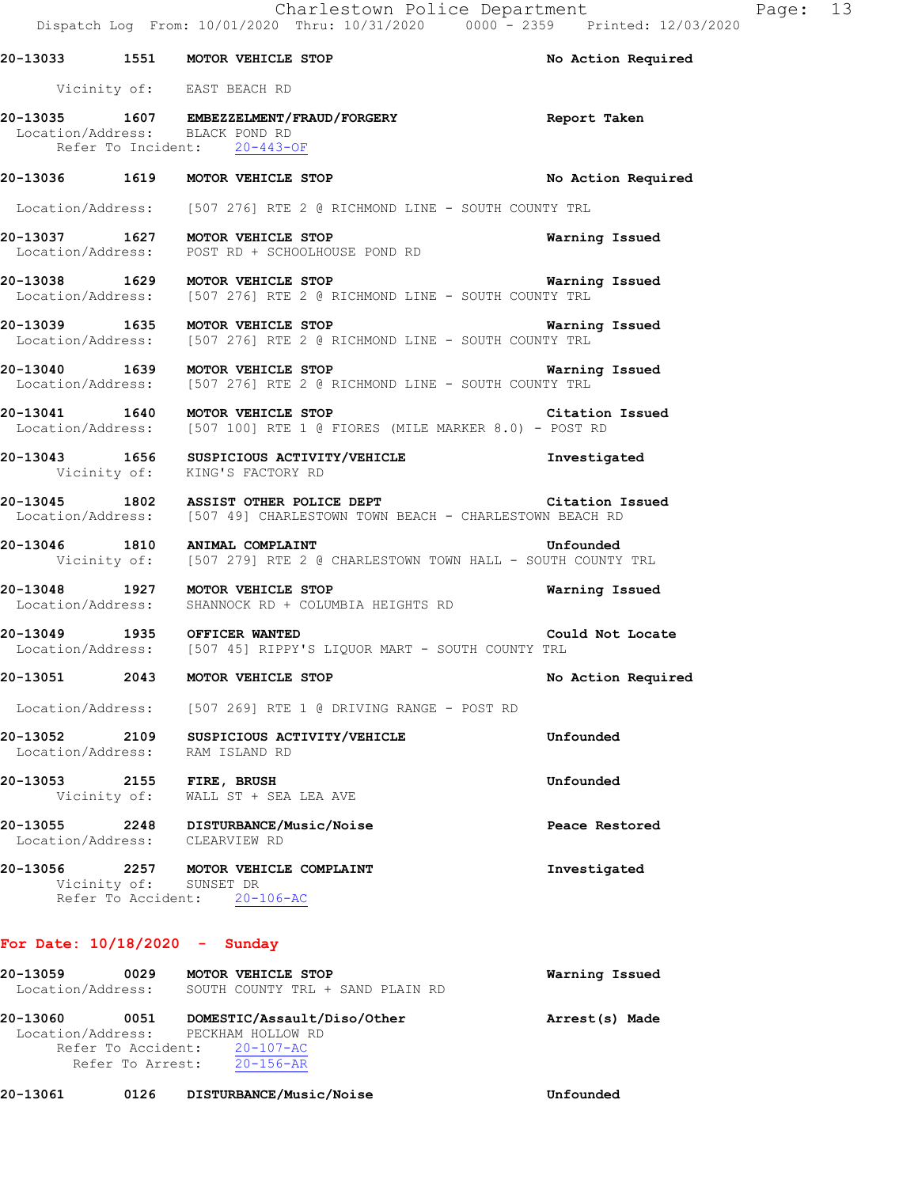|                                 | 20-13033 1551 MOTOR VEHICLE STOP                                                                                                   | No Action Required    |
|---------------------------------|------------------------------------------------------------------------------------------------------------------------------------|-----------------------|
|                                 | Vicinity of: EAST BEACH RD                                                                                                         |                       |
| Location/Address: BLACK POND RD | 20-13035 1607 EMBEZZELMENT/FRAUD/FORGERY Report Taken<br>Refer To Incident: 20-443-OF                                              |                       |
|                                 | 20-13036 1619 MOTOR VEHICLE STOP                                                                                                   | No Action Required    |
|                                 | Location/Address: [507 276] RTE 2 @ RICHMOND LINE - SOUTH COUNTY TRL                                                               |                       |
|                                 | 20-13037 1627 MOTOR VEHICLE STOP<br>Location/Address: POST RD + SCHOOLHOUSE POND RD                                                | Warning Issued        |
|                                 | 20-13038 1629 MOTOR VEHICLE STOP 120 120 Marning Issued<br>Location/Address: [507 276] RTE 2 @ RICHMOND LINE - SOUTH COUNTY TRL    |                       |
|                                 | 20-13039 1635 MOTOR VEHICLE STOP<br>Location/Address: [507 276] RTE 2 @ RICHMOND LINE - SOUTH COUNTY TRL                           | <b>Warning Issued</b> |
|                                 | 20-13040 1639 MOTOR VEHICLE STOP 120 120 Warning Issued<br>Location/Address: [507 276] RTE 2 @ RICHMOND LINE - SOUTH COUNTY TRL    |                       |
|                                 | 20-13041 1640 MOTOR VEHICLE STOP<br>Location/Address: [507 100] RTE 1 @ FIORES (MILE MARKER 8.0) - POST RD                         | Citation Issued       |
|                                 | Vicinity of: KING'S FACTORY RD                                                                                                     |                       |
|                                 | 20-13045 1802 ASSIST OTHER POLICE DEPT Citation Issued<br>Location/Address: [507 49] CHARLESTOWN TOWN BEACH - CHARLESTOWN BEACH RD |                       |
|                                 | 20-13046 1810 ANIMAL COMPLAINT Unfounded<br>Vicinity of: [507 279] RTE 2 @ CHARLESTOWN TOWN HALL - SOUTH COUNTY TRL                |                       |
|                                 | 20-13048 1927 MOTOR VEHICLE STOP<br>Location/Address: SHANNOCK RD + COLUMBIA HEIGHTS RD                                            | Warning Issued        |
|                                 | 20-13049 1935 OFFICER WANTED<br>Location/Address: [507 45] RIPPY'S LIQUOR MART - SOUTH COUNTY TRL                                  | Could Not Locate      |
|                                 | 20-13051 2043 MOTOR VEHICLE STOP                                                                                                   | No Action Required    |
|                                 | Location/Address: [507 269] RTE 1 @ DRIVING RANGE - POST RD                                                                        |                       |
|                                 | 20-13052 2109 SUSPICIOUS ACTIVITY/VEHICLE<br>Location/Address: RAM ISLAND RD                                                       | Unfounded             |
| 20-13053 2155 FIRE, BRUSH       | Vicinity of: WALL ST + SEA LEA AVE                                                                                                 | Unfounded             |
|                                 | 20-13055 2248 DISTURBANCE/Music/Noise<br>Location/Address: CLEARVIEW RD                                                            | Peace Restored        |
|                                 | 20-13056 2257 MOTOR VEHICLE COMPLAINT<br>Vicinity of: SUNSET DR<br>Refer To Accident: 20-106-AC                                    | Investigated          |

## **For Date: 10/18/2020 - Sunday**

| Warning Issued |                                  | MOTOR VEHICLE STOP                  | 0029             | 20-13059          |
|----------------|----------------------------------|-------------------------------------|------------------|-------------------|
|                | SOUTH COUNTY TRL + SAND PLAIN RD |                                     |                  | Location/Address: |
| Arrest(s) Made |                                  | DOMESTIC/Assault/Diso/Other         | 0051             | 20-13060          |
|                |                                  | Location/Address: PECKHAM HOLLOW RD |                  |                   |
|                |                                  | Refer To Accident: 20-107-AC        |                  |                   |
|                |                                  | $20 - 156 - AR$                     | Refer To Arrest: |                   |
|                |                                  |                                     |                  |                   |

**20-13061 0126 DISTURBANCE/Music/Noise Unfounded**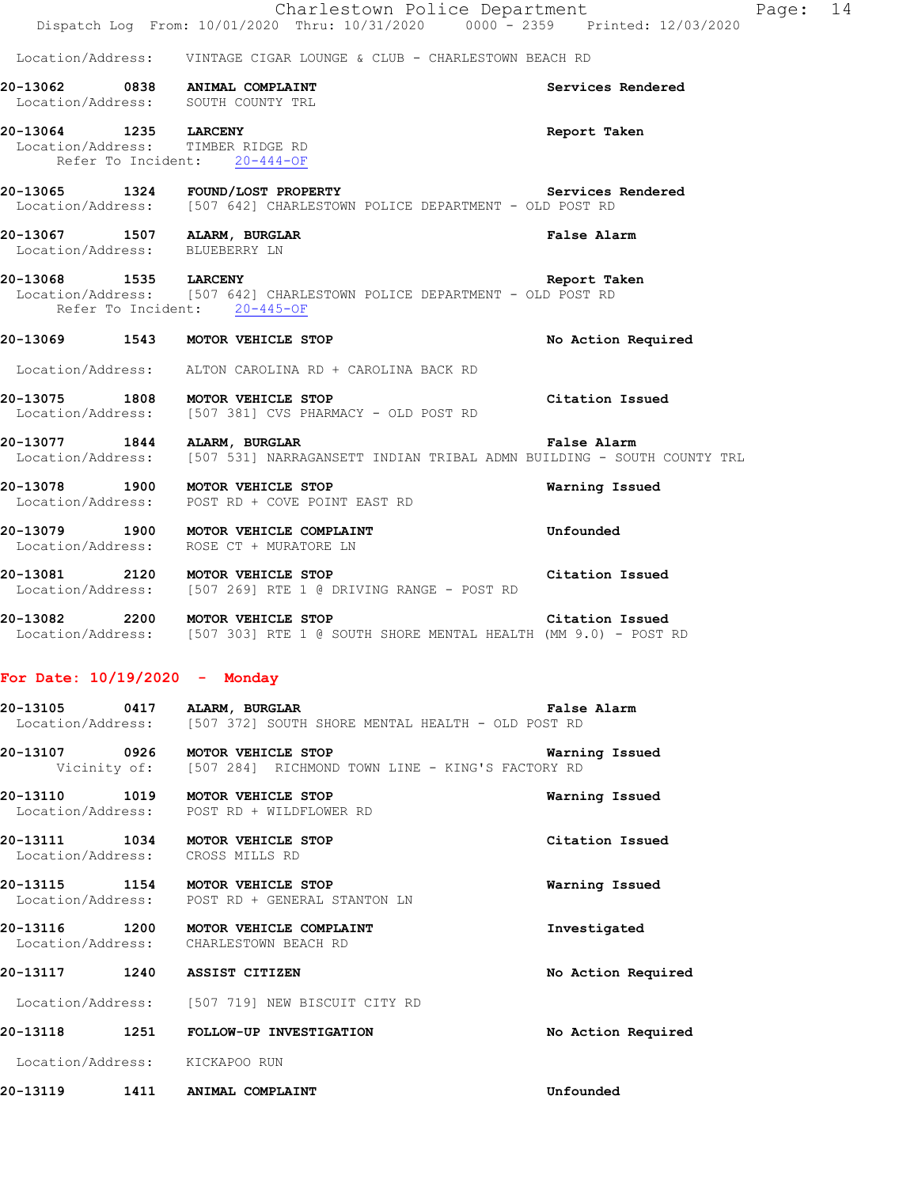**20-13062 0838 ANIMAL COMPLAINT Services Rendered**  Location/Address: SOUTH COUNTY TRL **20-13064 1235 LARCENY Report Taken**  Location/Address: TIMBER RIDGE RD Refer To Incident: 20-444-OF **20-13065 1324 FOUND/LOST PROPERTY Services Rendered**  Location/Address: [507 642] CHARLESTOWN POLICE DEPARTMENT - OLD POST RD **20-13067 1507 ALARM, BURGLAR False Alarm**  Location/Address: BLUEBERRY LN **20-13068 1535 LARCENY Report Taken**  Location/Address: [507 642] CHARLESTOWN POLICE DEPARTMENT - OLD POST RD Refer To Incident: 20-445-OF **20-13069 1543 MOTOR VEHICLE STOP No Action Required** 

Location/Address: ALTON CAROLINA RD + CAROLINA BACK RD

- **20-13075 1808 MOTOR VEHICLE STOP Citation Issued**  Location/Address: [507 381] CVS PHARMACY - OLD POST RD
- **20-13077 1844 ALARM, BURGLAR False Alarm False Alarm** Location/Address: [507 531] NARRAGANSETT INDIAN TRIBAL ADMN BUILDING SOU [507 531] NARRAGANSETT INDIAN TRIBAL ADMN BUILDING - SOUTH COUNTY TRL

**20-13078 1900 MOTOR VEHICLE STOP Warning Issued**  Location/Address: POST RD + COVE POINT EAST RD

**20-13079 1900 MOTOR VEHICLE COMPLAINT Unfounded**  Location/Address: ROSE CT + MURATORE LN

- **20-13081 2120 MOTOR VEHICLE STOP Citation Issued** Conduction/Address: [507 269] RTE 1 @ DRIVING RANGE POST RD Location/Address: [507 269] RTE 1 @ DRIVING RANGE - POST RD
- **20-13082 2200 MOTOR VEHICLE STOP Citation Issued**  Location/Address: [507 303] RTE 1 @ SOUTH SHORE MENTAL HEALTH (MM 9.0) - POST RD

## **For Date: 10/19/2020 - Monday**

| 20-13105          | 0417 |  | ALARM, BURGLAR |                                                   |  |  | <b>False Alarm</b> |
|-------------------|------|--|----------------|---------------------------------------------------|--|--|--------------------|
| Location/Address: |      |  |                | [507 372] SOUTH SHORE MENTAL HEALTH - OLD POST RD |  |  |                    |

**20-13107 0926 MOTOR VEHICLE STOP Warning Issued**  Vicinity of: [507 284] RICHMOND TOWN LINE - KING'S FACTORY RD

**20-13110 1019 MOTOR VEHICLE STOP Warning Issued**  Location/Address: POST RD + WILDFLOWER RD

**20-13111 1034 MOTOR VEHICLE STOP Citation Issued**  Location/Address: CROSS MILLS RD

**20-13115 1154 MOTOR VEHICLE STOP Warning Issued**  Location/Address: POST RD + GENERAL STANTON LN

**20-13116 1200 MOTOR VEHICLE COMPLAINT Investigated**  Location/Address: CHARLESTOWN BEACH RD

**20-13117 1240 ASSIST CITIZEN No Action Required** 

Location/Address: [507 719] NEW BISCUIT CITY RD

**20-13118 1251 FOLLOW-UP INVESTIGATION No Action Required**  Location/Address: KICKAPOO RUN

**20-13119 1411 ANIMAL COMPLAINT Unfounded**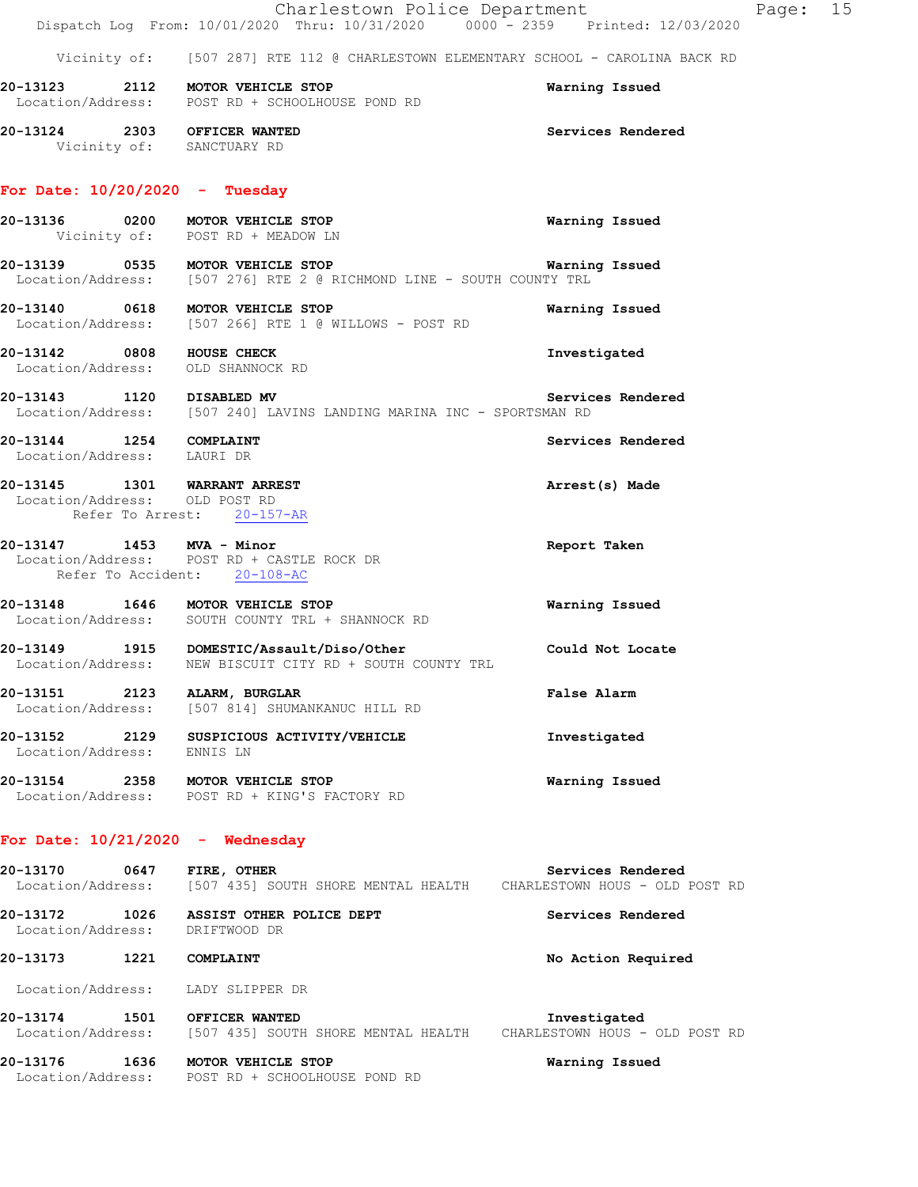|                                                       | Charlestown Police Department<br>Dispatch Log From: 10/01/2020 Thru: 10/31/2020 0000 - 2359 Printed: 12/03/2020      |                    | Page: 15 |  |
|-------------------------------------------------------|----------------------------------------------------------------------------------------------------------------------|--------------------|----------|--|
|                                                       | Vicinity of: [507 287] RTE 112 @ CHARLESTOWN ELEMENTARY SCHOOL - CAROLINA BACK RD                                    |                    |          |  |
|                                                       | 20-13123 2112 MOTOR VEHICLE STOP<br>Location/Address: POST RD + SCHOOLHOUSE POND RD                                  | Warning Issued     |          |  |
|                                                       | 20-13124 2303 OFFICER WANTED<br>Vicinity of: SANCTUARY RD                                                            | Services Rendered  |          |  |
|                                                       | For Date: $10/20/2020 - Tuesday$                                                                                     |                    |          |  |
|                                                       | 20-13136 0200 MOTOR VEHICLE STOP<br>Vicinity of: POST RD + MEADOW LN                                                 | Warning Issued     |          |  |
|                                                       | 20-13139 0535 MOTOR VEHICLE STOP<br>Location/Address: [507 276] RTE 2 @ RICHMOND LINE - SOUTH COUNTY TRL             | Warning Issued     |          |  |
|                                                       | 20-13140 0618 MOTOR VEHICLE STOP<br>Location/Address: [507 266] RTE 1 @ WILLOWS - POST RD                            | Warning Issued     |          |  |
| 20-13142 0808 HOUSE CHECK                             | Location/Address: OLD SHANNOCK RD                                                                                    | Investigated       |          |  |
|                                                       | 20-13143 1120 DISABLED MV Servic<br>Location/Address: [507 240] LAVINS LANDING MARINA INC - SPORTSMAN RD             | Services Rendered  |          |  |
| 20-13144 1254 COMPLAINT<br>Location/Address: LAURI DR |                                                                                                                      | Services Rendered  |          |  |
| Location/Address: OLD POST RD                         | 20-13145 1301 WARRANT ARREST<br>Refer To Arrest: 20-157-AR                                                           | Arrest(s) Made     |          |  |
| 20-13147 1453 MVA - Minor                             | Location/Address: POST RD + CASTLE ROCK DR<br>Refer To Accident: 20-108-AC                                           | Report Taken       |          |  |
|                                                       | 20-13148 1646 MOTOR VEHICLE STOP<br>Location/Address: SOUTH COUNTY TRL + SHANNOCK RD                                 | Warning Issued     |          |  |
|                                                       | 20-13149   1915   DOMESTIC/Assault/Diso/Other<br>Location/Address:   NEW BISCUIT CITY RD + SOUTH COUNTY TRL          | Could Not Locate   |          |  |
|                                                       | 20-13151 2123 ALARM, BURGLAR<br>Location/Address: [507 814] SHUMANKANUC HILL RD                                      | False Alarm        |          |  |
| 20-13152 2129<br>Location/Address: ENNIS LN           | SUSPICIOUS ACTIVITY/VEHICLE                                                                                          | Investigated       |          |  |
|                                                       | 20-13154 2358 MOTOR VEHICLE STOP<br>Location/Address: POST RD + KING'S FACTORY RD                                    | Warning Issued     |          |  |
|                                                       | For Date: $10/21/2020 -$ Wednesday                                                                                   |                    |          |  |
| 20-13170 0647 FIRE, OTHER                             | Location/Address: [507 435] SOUTH SHORE MENTAL HEALTH CHARLESTOWN HOUS - OLD POST RD                                 | Services Rendered  |          |  |
|                                                       | 20-13172 1026 ASSIST OTHER POLICE DEPT<br>Location/Address: DRIFTWOOD DR                                             | Services Rendered  |          |  |
| 20-13173 1221 COMPLAINT                               |                                                                                                                      | No Action Required |          |  |
|                                                       | Location/Address: LADY SLIPPER DR                                                                                    |                    |          |  |
|                                                       | 20-13174 1501 OFFICER WANTED<br>Location/Address: [507 435] SOUTH SHORE MENTAL HEALTH CHARLESTOWN HOUS - OLD POST RD | Investigated       |          |  |
|                                                       | 20-13176 1636 MOTOR VEHICLE STOP<br>Location/Address: POST RD + SCHOOLHOUSE POND RD                                  | Warning Issued     |          |  |
|                                                       |                                                                                                                      |                    |          |  |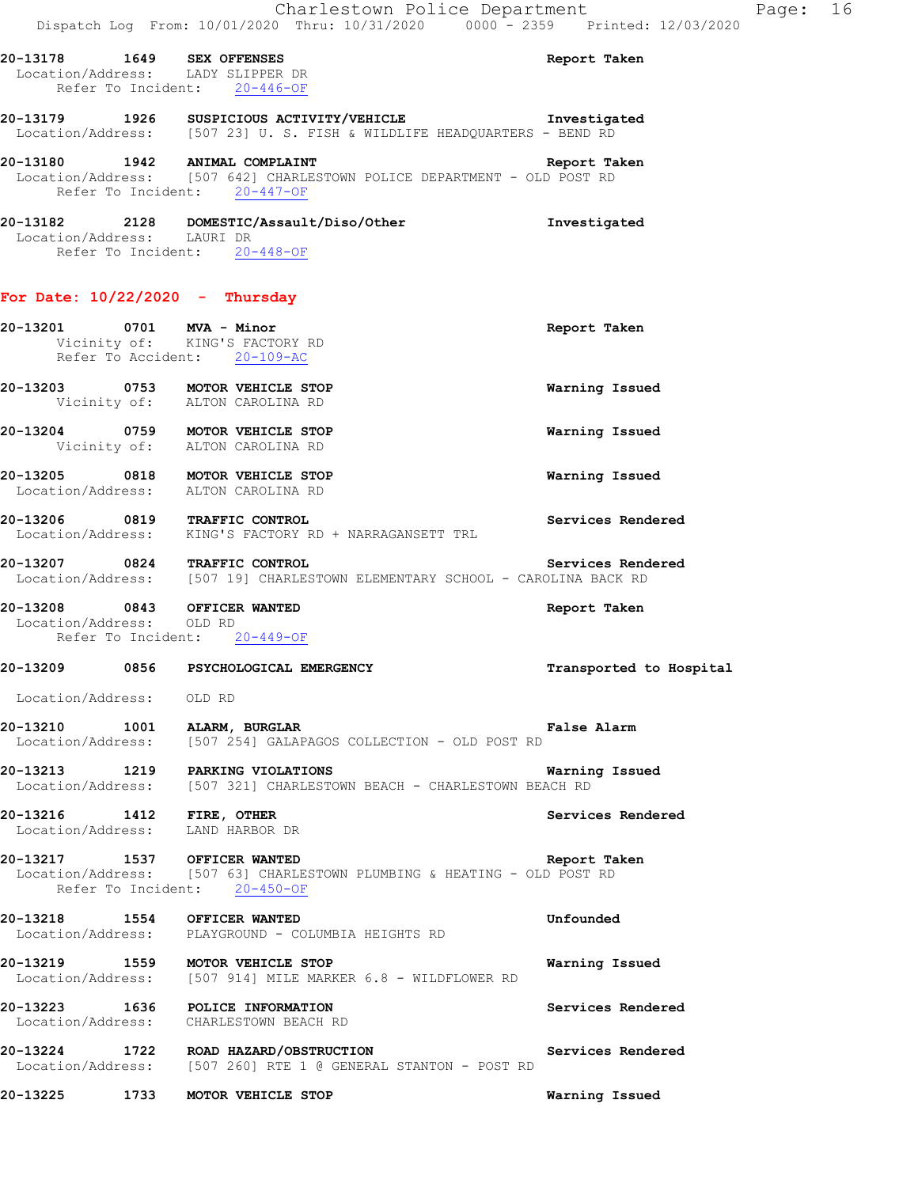| 20-13178                   | 1649 SEX OFFENSES<br>Location/Address: LADY SLIPPER DR<br>Refer To Incident: 20-446-OF                                                    | Report Taken |
|----------------------------|-------------------------------------------------------------------------------------------------------------------------------------------|--------------|
| 20-13179                   | 1926 SUSPICIOUS ACTIVITY/VEHICLE                                                                                                          | Investigated |
|                            | Location/Address: [507 23] U.S. FISH & WILDLIFE HEADOUARTERS - BEND RD                                                                    |              |
|                            | 20-13180 1942 ANIMAL COMPLAINT<br>Location/Address: [507 642] CHARLESTOWN POLICE DEPARTMENT - OLD POST RD<br>Refer To Incident: 20-447-OF | Report Taken |
| Location/Address: LAURI DR | 20-13182  2128  DOMESTIC/Assault/Diso/Other<br>Refer To Incident: 20-448-OF                                                               | Investigated |
|                            | For Date: $10/22/2020 -$ Thursday                                                                                                         |              |

**20-13201 0701 MVA - Minor Report Taken**  Vicinity of: KING'S FACTORY RD Refer To Accident: 20-109-AC **20-13203 0753 MOTOR VEHICLE STOP Warning Issued**  Vicinity of: ALTON CAROLINA RD **20-13204 0759 MOTOR VEHICLE STOP Warning Issued**  Vicinity of: ALTON CAROLINA RD **20-13205 0818 MOTOR VEHICLE STOP Warning Issued**  Location/Address: **20-13206 0819 TRAFFIC CONTROL Services Rendered**  Location/Address: KING'S FACTORY RD + NARRAGANSETT TRL **20-13207 0824 TRAFFIC CONTROL Services Rendered**  Location/Address: [507 19] CHARLESTOWN ELEMENTARY SCHOOL - CAROLINA BACK RD **20-13208 0843 OFFICER WANTED Report Taken**  Location/Address: OLD RD Refer To Incident: 20-449-OF **20-13209 0856 PSYCHOLOGICAL EMERGENCY Transported to Hospital**  Location/Address: OLD RD **20-13210 1001 ALARM, BURGLAR False Alarm**  Location/Address: [507 254] GALAPAGOS COLLECTION - OLD POST RD **20-13213 1219 PARKING VIOLATIONS Warning Issued**  Location/Address: [507 321] CHARLESTOWN BEACH - CHARLESTOWN BEACH RD **20-13216 1412 FIRE, OTHER Services Rendered**  Location/Address: LAND HARBOR DR **20-13217 1537 OFFICER WANTED Report Taken**  Location/Address: [507 63] CHARLESTOWN PLUMBING & HEATING - OLD POST RD Refer To Incident: 20-450-OF **20-13218 1554 OFFICER WANTED Unfounded**  Location/Address: PLAYGROUND - COLUMBIA HEIGHTS RD **20-13219 1559 MOTOR VEHICLE STOP WARKER 6.8 - WILDFLOWER RD Warning Issued** Location/Address: [507 914] MILE MARKER 6.8 - WILDFLOWER RD [507 914] MILE MARKER 6.8 - WILDFLOWER RD **20-13223 1636 POLICE INFORMATION Services Rendered**  Location/Address: CHARLESTOWN BEACH RD **20-13224 1722 ROAD HAZARD/OBSTRUCTION Services Rendered**  Location/Address: [507 260] RTE 1 @ GENERAL STANTON - POST RD **20-13225 1733 MOTOR VEHICLE STOP Warning Issued**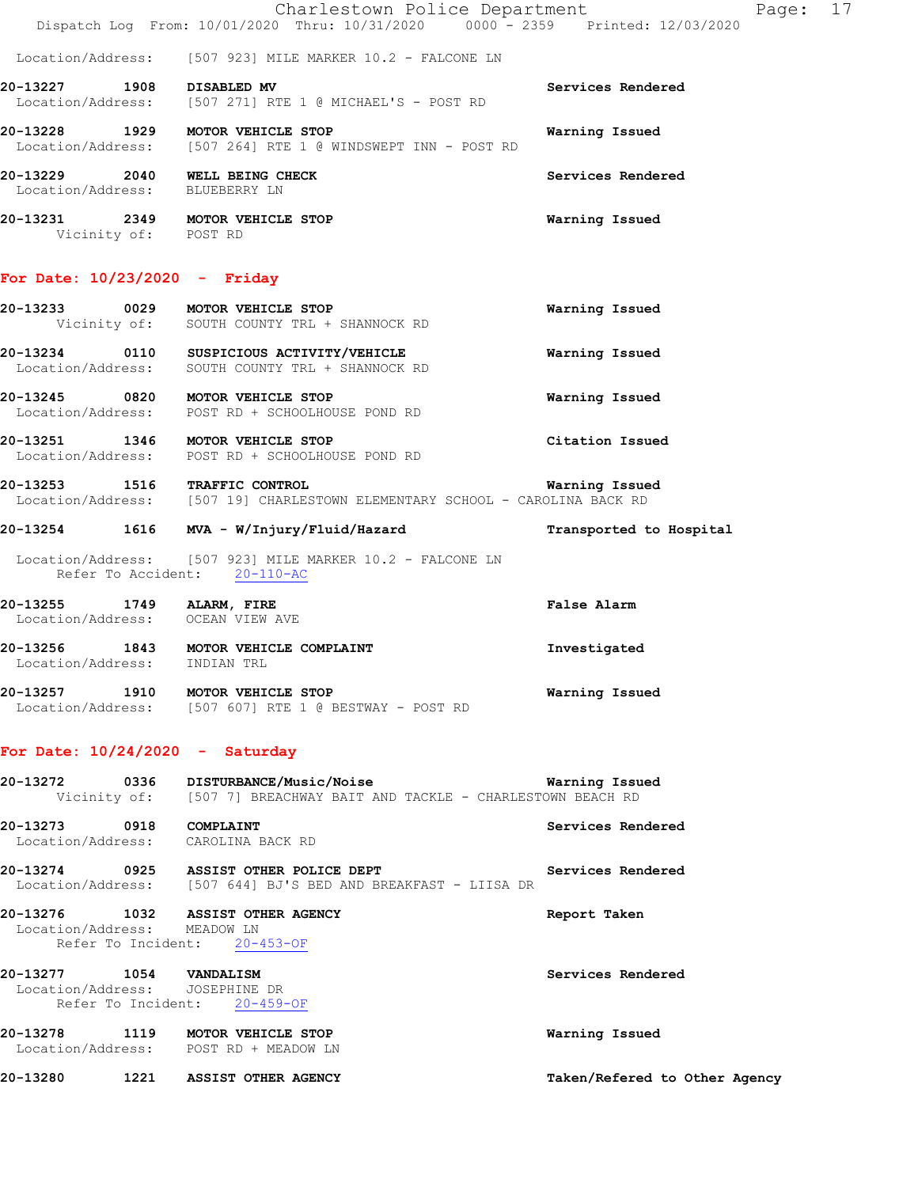Charlestown Police Department Page: 17 Dispatch Log From: 10/01/2020 Thru: 10/31/2020 0000<sup>-</sup> 2359 Printed: 12/03/2020

Location/Address: [507 923] MILE MARKER 10.2 - FALCONE LN

**20-13227 1908 DISABLED MV Services Rendered**  Location/Address: [507 271] RTE 1 @ MICHAEL'S - POST RD **20-13228 1929 MOTOR VEHICLE STOP Warning Issued**  Location/Address: [507 264] RTE 1 @ WINDSWEPT INN - POST RD **20-13229 2040 WELL BEING CHECK Services Rendered**  Location/Address: BLUEBERRY LN

**20-13231 2349 MOTOR VEHICLE STOP Warning Issued**  Vicinity of: POST RD

#### **For Date: 10/23/2020 - Friday**

| 20-13233                      | 0029         | MOTOR VEHICLE STOP                                            | Warning Issued |
|-------------------------------|--------------|---------------------------------------------------------------|----------------|
|                               | Vicinity of: | SOUTH COUNTY TRL + SHANNOCK RD                                |                |
| 20-13234<br>Location/Address: | 0110         | SUSPICIOUS ACTIVITY/VEHICLE<br>SOUTH COUNTY TRL + SHANNOCK RD | Warning Issued |
| 20-13245                      | 0820         | MOTOR VEHICLE STOP                                            | Warning Issued |

 Location/Address: POST RD + SCHOOLHOUSE POND RD **20-13251 1346 MOTOR VEHICLE STOP Citation Issued** 

Location/Address: POST RD + SCHOOLHOUSE POND RD

**20-13253 1516 TRAFFIC CONTROL Warning Issued**  Location/Address: [507 19] CHARLESTOWN ELEMENTARY SCHOOL - CAROLINA BACK RD

- **20-13254 1616 MVA W/Injury/Fluid/Hazard Transported to Hospital**
- Location/Address: [507 923] MILE MARKER 10.2 FALCONE LN Refer To Accident: 20-110-AC
- **20-13255 1749 ALARM, FIRE False Alarm**  Location/Address: OCEAN VIEW AVE **20-13256 1843 MOTOR VEHICLE COMPLAINT Investigated**  Location/Address: INDIAN TRL
- **20-13257 1910 MOTOR VEHICLE STOP Warning Issued**  Location/Address: [507 607] RTE 1 @ BESTWAY - POST RD

#### **For Date: 10/24/2020 - Saturday**

|                                                           | 20-13272 0336 DISTURBANCE/Music/Noise<br>Vicinity of: [507 7] BREACHWAY BAIT AND TACKLE - CHARLESTOWN BEACH RD | Warning Issued                |
|-----------------------------------------------------------|----------------------------------------------------------------------------------------------------------------|-------------------------------|
| 20-13273 0918                                             | COMPLAINT<br>Location/Address: CAROLINA BACK RD                                                                | Services Rendered             |
|                                                           | 20-13274 0925 ASSIST OTHER POLICE DEPT<br>Location/Address: [507 644] BJ'S BED AND BREAKFAST - LIISA DR        | Services Rendered             |
| Location/Address: MEADOW LN                               | 20-13276 1032 ASSIST OTHER AGENCY<br>Refer To Incident: 20-453-OF                                              | Report Taken                  |
| 20-13277 1054 VANDALISM<br>Location/Address: JOSEPHINE DR | Refer To Incident: 20-459-OF                                                                                   | Services Rendered             |
|                                                           | 20-13278 1119 MOTOR VEHICLE STOP<br>Location/Address: POST RD + MEADOW LN                                      | Warning Issued                |
|                                                           | 20-13280 1221 ASSIST OTHER AGENCY                                                                              | Taken/Refered to Other Agency |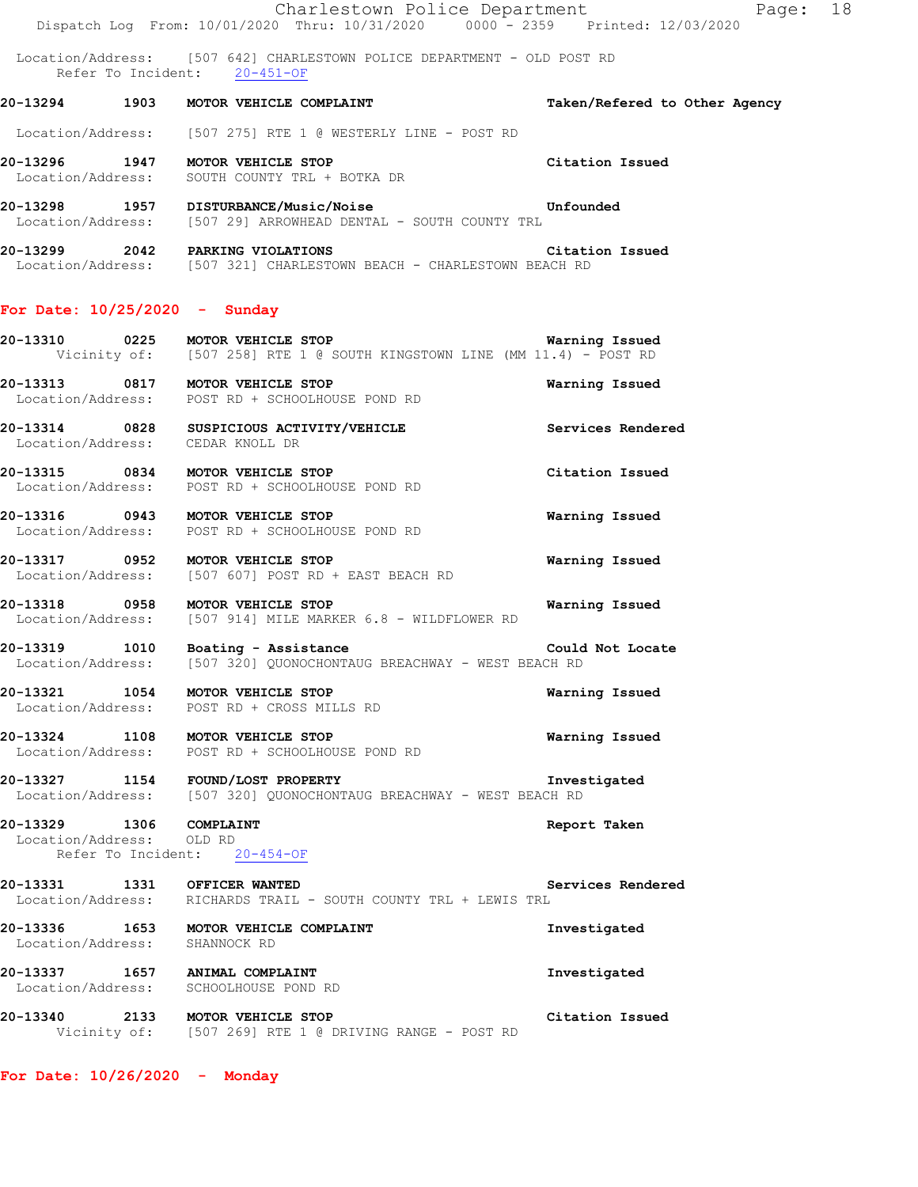Charlestown Police Department The Page: 18 Dispatch Log From: 10/01/2020 Thru: 10/31/2020 0000 - 2359 Printed: 12/03/2020

 Location/Address: [507 642] CHARLESTOWN POLICE DEPARTMENT - OLD POST RD Refer To Incident: 20-451-OF

**20-13294 1903 MOTOR VEHICLE COMPLAINT Taken/Refered to Other Agency**

Location/Address: [507 275] RTE 1 @ WESTERLY LINE - POST RD

**20-13296 1947 MOTOR VEHICLE STOP Citation Issued**  Location/Address: SOUTH COUNTY TRL + BOTKA DR

**20-13298 1957 DISTURBANCE/Music/Noise Unfounded**  Location/Address: [507 29] ARROWHEAD DENTAL - SOUTH COUNTY TRL

**20-13299 2042 PARKING VIOLATIONS Citation Issued**  Location/Address: [507 321] CHARLESTOWN BEACH - CHARLESTOWN BEACH RD

### **For Date: 10/25/2020 - Sunday**

**20-13310 0225 MOTOR VEHICLE STOP Warning Issued**  Vicinity of: [507 258] RTE 1 @ SOUTH KINGSTOWN LINE (MM 11.4) - POST RD

**20-13313 0817 MOTOR VEHICLE STOP Warning Issued**  Location/Address: POST RD + SCHOOLHOUSE POND RD

**20-13314 0828 SUSPICIOUS ACTIVITY/VEHICLE Services Rendered** <br>
Location/Address: CEDAR KNOLL DR Location/Address:

**20-13315 0834 MOTOR VEHICLE STOP Citation Issued**  Location/Address: POST RD + SCHOOLHOUSE POND RD

**20-13316 0943 MOTOR VEHICLE STOP Warning Issued**  Location/Address: POST RD + SCHOOLHOUSE POND RD

**20-13317 0952 MOTOR VEHICLE STOP Warning Issued**  Location/Address: [507 607] POST RD + EAST BEACH RD

**20-13318 0958 MOTOR VEHICLE STOP Warning Issued**  Location/Address: [507 914] MILE MARKER 6.8 - WILDFLOWER RD

**20-13319 1010 Boating - Assistance Could Not Locate**  Location/Address: [507 320] QUONOCHONTAUG BREACHWAY - WEST BEACH RD

**20-13321 1054 MOTOR VEHICLE STOP Warning Issued**  Location/Address: POST RD + CROSS MILLS RD

**20-13324 1108 MOTOR VEHICLE STOP Warning Issued**  Location/Address: POST RD + SCHOOLHOUSE POND RD

**20-13327 1154 FOUND/LOST PROPERTY Investigated**  Location/Address: [507 320] QUONOCHONTAUG BREACHWAY - WEST BEACH RD

**20-13329 1306 COMPLAINT Report Taken**  Location/Address: OLD RD Refer To Incident: 20-454-OF

**20-13331 1331 OFFICER WANTED Services Rendered**  Location/Address: RICHARDS TRAIL - SOUTH COUNTY TRL + LEWIS TRL

**20-13336 1653 MOTOR VEHICLE COMPLAINT Investigated**  Location/Address: SHANNOCK RD

**20-13337 1657 ANIMAL COMPLAINT Investigated**  Location/Address: SCHOOLHOUSE POND RD

**20-13340 2133 MOTOR VEHICLE STOP Citation Issued**  Vicinity of: [507 269] RTE 1 @ DRIVING RANGE - POST RD

**For Date: 10/26/2020 - Monday**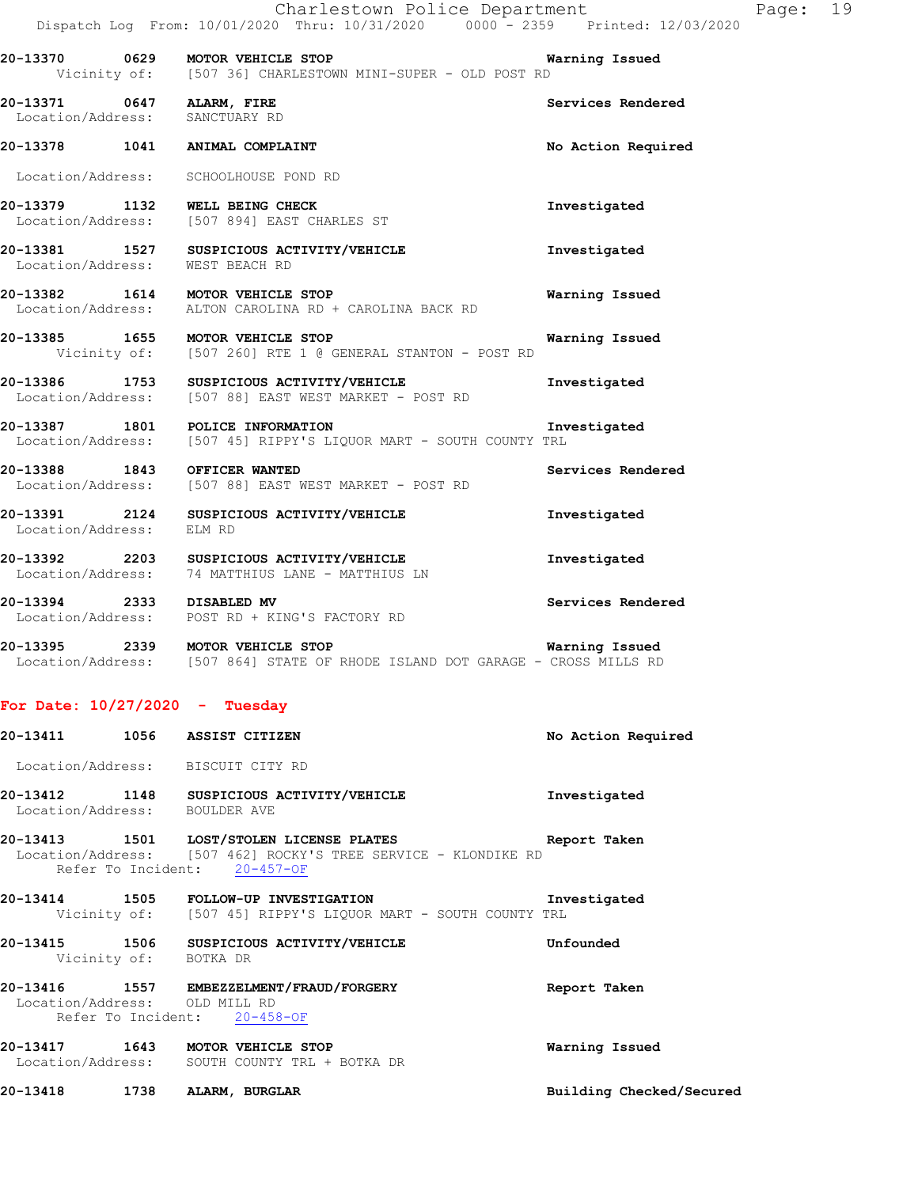|                          | Dispatch Log From: 10/01/2020 Thru: 10/31/2020 0000 <sup>-</sup> 2359 Printed: 12/03/2020                         |                    |
|--------------------------|-------------------------------------------------------------------------------------------------------------------|--------------------|
|                          | 20-13370 0629 MOTOR VEHICLE STOP<br>Vicinity of: [507 36] CHARLESTOWN MINI-SUPER - OLD POST RD                    | Warning Issued     |
|                          | 20-13371 0647 ALARM, FIRE<br>Location/Address: SANCTUARY RD                                                       | Services Rendered  |
|                          | 20-13378 1041 ANIMAL COMPLAINT                                                                                    | No Action Required |
|                          | Location/Address: SCHOOLHOUSE POND RD                                                                             |                    |
|                          | 20-13379 1132 WELL BEING CHECK<br>Location/Address: [507 894] EAST CHARLES ST                                     | Investigated       |
|                          | 20-13381 1527 SUSPICIOUS ACTIVITY/VEHICLE<br>Location/Address: WEST BEACH RD                                      | Investigated       |
|                          | 20-13382 1614 MOTOR VEHICLE STOP<br>Location/Address: ALTON CAROLINA RD + CAROLINA BACK RD                        | Warning Issued     |
|                          | 20-13385 1655 MOTOR VEHICLE STOP<br>Vicinity of: [507 260] RTE 1 @ GENERAL STANTON - POST RD                      | Warning Issued     |
|                          | 20-13386 1753 SUSPICIOUS ACTIVITY/VEHICLE<br>Location/Address: [507 88] EAST WEST MARKET - POST RD                | Investigated       |
|                          | 20-13387 1801 POLICE INFORMATION<br>Location/Address: [507 45] RIPPY'S LIQUOR MART - SOUTH COUNTY TRL             | Investigated       |
|                          | 20-13388 1843 OFFICER WANTED<br>Location/Address: [507 88] EAST WEST MARKET - POST RD                             | Services Rendered  |
| Location/Address: ELM RD | 20-13391 2124 SUSPICIOUS ACTIVITY/VEHICLE                                                                         | Investigated       |
|                          | 20-13392 2203 SUSPICIOUS ACTIVITY/VEHICLE<br>Location/Address: 74 MATTHIUS LANE - MATTHIUS LN                     | Investigated       |
|                          | 20-13394 2333 DISABLED MV<br>Location/Address: POST RD + KING'S FACTORY RD                                        | Services Rendered  |
|                          | 20-13395 2339 MOTOR VEHICLE STOP<br>Location/Address: [507 864] STATE OF RHODE ISLAND DOT GARAGE - CROSS MILLS RD | Warning Issued     |
|                          | For Date: $10/27/2020$ - Tuesday                                                                                  |                    |
| 20-13411                 | 1056 ASSIST CITIZEN                                                                                               | No Action Required |
|                          | Location/Address: BISCUIT CITY RD                                                                                 |                    |

**20-13412 1148 SUSPICIOUS ACTIVITY/VEHICLE Investigated**  Location/Address: BOULDER AVE

**20-13413 1501 LOST/STOLEN LICENSE PLATES Report Taken**  Location/Address: [507 462] ROCKY'S TREE SERVICE - KLONDIKE RD Refer To Incident: 20-457-OF

**20-13414 1505 FOLLOW-UP INVESTIGATION Investigated**  Vicinity of: [507 45] RIPPY'S LIQUOR MART - SOUTH COUNTY TRL

**20-13415 1506 SUSPICIOUS ACTIVITY/VEHICLE Unfounded**  Vicinity of: BOTKA DR

**20-13416 1557 EMBEZZELMENT/FRAUD/FORGERY Report Taken**  Location/Address: OLD MILL RD Refer To Incident: 20-458-OF

**20-13417 1643 MOTOR VEHICLE STOP Warning Issued**  Location/Address: SOUTH COUNTY TRL + BOTKA DR

**20-13418 1738 ALARM, BURGLAR Building Checked/Secured**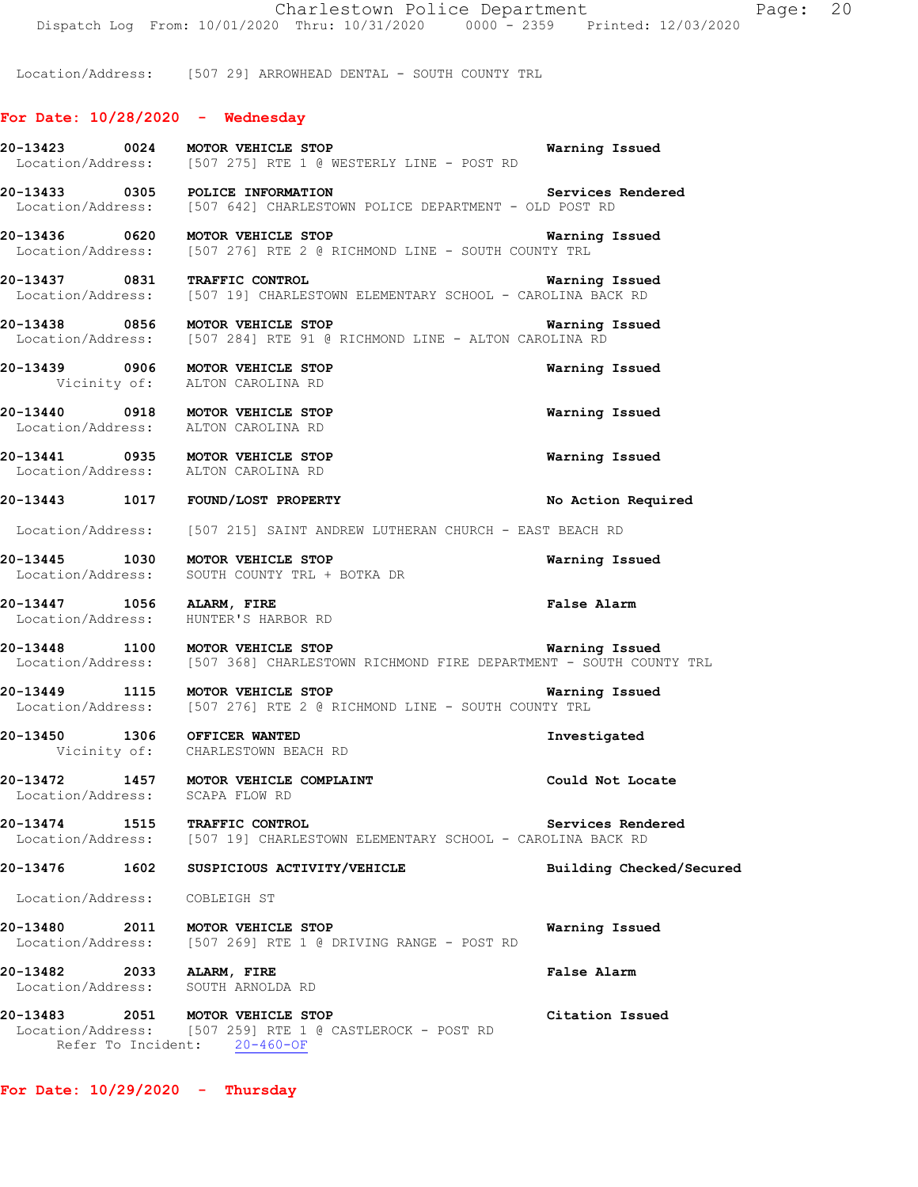Location/Address: [507 29] ARROWHEAD DENTAL - SOUTH COUNTY TRL

### **For Date: 10/28/2020 - Wednesday**

**20-13423 0024 MOTOR VEHICLE STOP Warning Issued**  Location/Address: [507 275] RTE 1 @ WESTERLY LINE - POST RD **20-13433 0305 POLICE INFORMATION Services Rendered**  Location/Address: [507 642] CHARLESTOWN POLICE DEPARTMENT - OLD POST RD **20-13436 0620 MOTOR VEHICLE STOP Warning Issued**  Location/Address: [507 276] RTE 2 @ RICHMOND LINE - SOUTH COUNTY TRL **20-13437 0831 TRAFFIC CONTROL Warning Issued**  Location/Address: [507 19] CHARLESTOWN ELEMENTARY SCHOOL - CAROLINA BACK RD **20-13438 0856 MOTOR VEHICLE STOP Warning Issued**  Location/Address: [507 284] RTE 91 @ RICHMOND LINE - ALTON CAROLINA RD **20-13439 0906 MOTOR VEHICLE STOP Warning Issued**  Vicinity of: ALTON CAROLINA RD **20-13440 0918 MOTOR VEHICLE STOP Warning Issued**  Location/Address: ALTON CAROLINA RD **20-13441 0935 MOTOR VEHICLE STOP Warning Issued**  Location/Address: ALTON CAROLINA RD **20-13443 1017 FOUND/LOST PROPERTY No Action Required**  Location/Address: [507 215] SAINT ANDREW LUTHERAN CHURCH - EAST BEACH RD **20-13445 1030 MOTOR VEHICLE STOP Warning Issued**  Location/Address: SOUTH COUNTY TRL + BOTKA DR **20-13447 1056 ALARM, FIRE False Alarm**  Location/Address: HUNTER'S HARBOR RD **20-13448 1100 MOTOR VEHICLE STOP Warning Issued**  Location/Address: [507 368] CHARLESTOWN RICHMOND FIRE DEPARTMENT - SOUTH COUNTY TRL **20-13449 1115 MOTOR VEHICLE STOP Warning Issued**  Location/Address: [507 276] RTE 2 @ RICHMOND LINE - SOUTH COUNTY TRL **20-13450 1306 OFFICER WANTED Investigated**  Vicinity of: CHARLESTOWN BEACH RD **20-13472 1457 MOTOR VEHICLE COMPLAINT Could Not Locate**  Location/Address: SCAPA FLOW RD **20-13474 1515 TRAFFIC CONTROL** Services Rendered Location/Address: [507 19] CHARLESTOWN ELEMENTARY SCHOOL - CAROLINA BACK RD [507 19] CHARLESTOWN ELEMENTARY SCHOOL - CAROLINA BACK RD **20-13476 1602 SUSPICIOUS ACTIVITY/VEHICLE Building Checked/Secured**  Location/Address: COBLEIGH ST **20-13480 2011 MOTOR VEHICLE STOP Warning Issued**  Location/Address: [507 269] RTE 1 @ DRIVING RANGE - POST RD **20-13482 2033 ALARM, FIRE False Alarm**  Location/Address: SOUTH ARNOLDA RD **20-13483 2051 MOTOR VEHICLE STOP Citation Issued**  Location/Address: [507 259] RTE 1 @ CASTLEROCK - POST RD Refer To Incident: 20-460-OF

**For Date: 10/29/2020 - Thursday**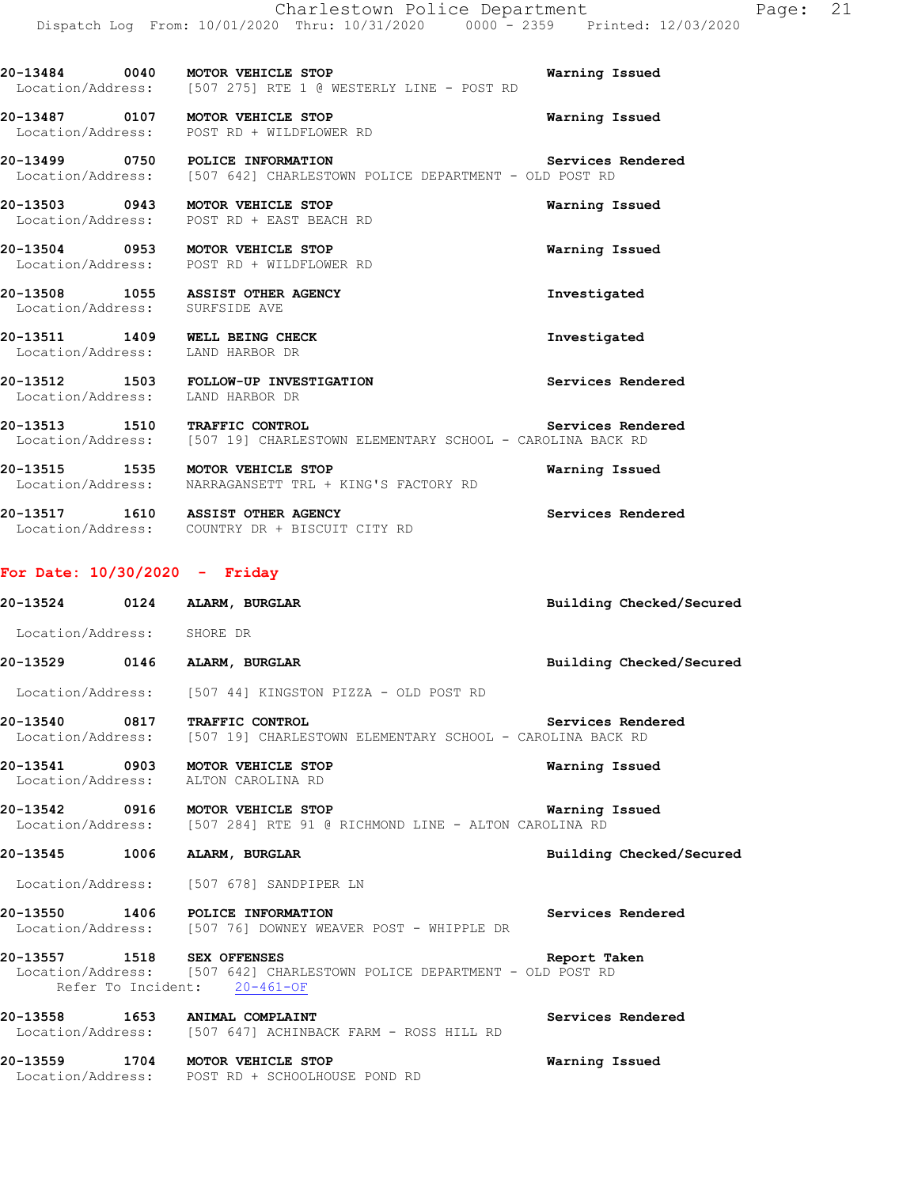**20-13484 0040 MOTOR VEHICLE STOP Warning Issued**  Location/Address: [507 275] RTE 1 @ WESTERLY LINE - POST RD **20-13487 0107 MOTOR VEHICLE STOP Warning Issued**  Location/Address: POST RD + WILDFLOWER RD **20-13499 0750 POLICE INFORMATION Services Rendered**  Location/Address: [507 642] CHARLESTOWN POLICE DEPARTMENT - OLD POST RD **20-13503 0943 MOTOR VEHICLE STOP Warning Issued**  Location/Address: POST RD + EAST BEACH RD **20-13504 0953 MOTOR VEHICLE STOP Warning Issued**  Location/Address: POST RD + WILDFLOWER RD **20-13508 1055 ASSIST OTHER AGENCY Investigated**  Location/Address: SURFSIDE AVE **20-13511 1409 WELL BEING CHECK Investigated**  Location/Address: LAND HARBOR DR **20-13512 1503 FOLLOW-UP INVESTIGATION Services Rendered**  Location/Address: LAND HARBOR DR **20-13513 1510 TRAFFIC CONTROL** Services Rendered Location/Address: [507 19] CHARLESTOWN ELEMENTARY SCHOOL - CAROLINA BACK RD [507 19] CHARLESTOWN ELEMENTARY SCHOOL - CAROLINA BACK RD **20-13515 1535 MOTOR VEHICLE STOP Warning Issued**  Location/Address: NARRAGANSETT TRL + KING'S FACTORY RD **20-13517 1610 ASSIST OTHER AGENCY Services Rendered**  Location/Address: COUNTRY DR + BISCUIT CITY RD **For Date: 10/30/2020 - Friday 20-13524 0124 ALARM, BURGLAR Building Checked/Secured**  Location/Address: SHORE DR **20-13529 0146 ALARM, BURGLAR Building Checked/Secured**  Location/Address: [507 44] KINGSTON PIZZA - OLD POST RD **20-13540 0817 TRAFFIC CONTROL Services Rendered**  Location/Address: [507 19] CHARLESTOWN ELEMENTARY SCHOOL - CAROLINA BACK RD **20-13541 0903 MOTOR VEHICLE STOP Warning Issued**  Location/Address: ALTON CAROLINA RD **20-13542 0916 MOTOR VEHICLE STOP Warning Issued**  Location/Address: [507 284] RTE 91 @ RICHMOND LINE - ALTON CAROLINA RD **20-13545 1006 ALARM, BURGLAR Building Checked/Secured**  Location/Address: [507 678] SANDPIPER LN **20-13550 1406 POLICE INFORMATION Services Rendered**  Location/Address: [507 76] DOWNEY WEAVER POST - WHIPPLE DR

**20-13557 1518 SEX OFFENSES Report Taken**  Location/Address: [507 642] CHARLESTOWN POLICE DEPARTMENT - OLD POST RD Refer To Incident: 20-461-OF

**20-13558 1653 ANIMAL COMPLAINT Services Rendered**  Location/Address: [507 647] ACHINBACK FARM - ROSS HILL RD **20-13559 1704 MOTOR VEHICLE STOP Warning Issued** 

Location/Address: POST RD + SCHOOLHOUSE POND RD